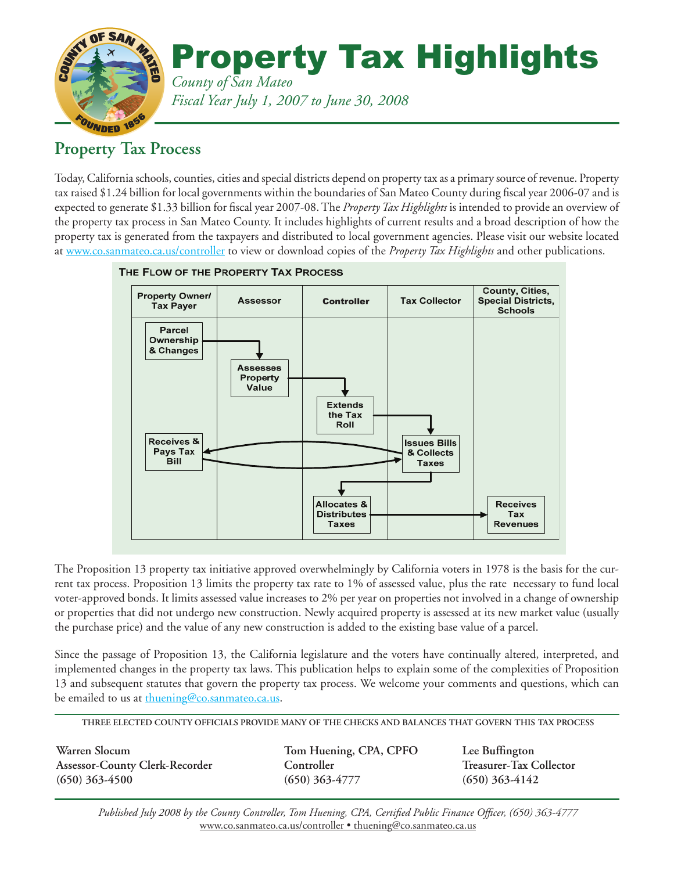

### **Property Tax Process**

Today, California schools, counties, cities and special districts depend on property tax as a primary source of revenue. Property tax raised \$1.24 billion for local governments within the boundaries of San Mateo County during fiscal year 2006-07 and is expected to generate \$1.33 billion for fiscal year 2007-08. The *Property Tax Highlights* is intended to provide an overview of the property tax process in San Mateo County. It includes highlights of current results and a broad description of how the property tax is generated from the taxpayers and distributed to local government agencies. Please visit our website located at www.co.sanmateo.ca.us/controller to view or download copies of the *Property Tax Highlights* and other publications.



THE FLOW OF THE PROPERTY TAX PROCESS

The Proposition 13 property tax initiative approved overwhelmingly by California voters in 1978 is the basis for the current tax process. Proposition 13 limits the property tax rate to 1% of assessed value, plus the rate necessary to fund local voter-approved bonds. It limits assessed value increases to 2% per year on properties not involved in a change of ownership or properties that did not undergo new construction. Newly acquired property is assessed at its new market value (usually the purchase price) and the value of any new construction is added to the existing base value of a parcel.

Since the passage of Proposition 13, the California legislature and the voters have continually altered, interpreted, and implemented changes in the property tax laws. This publication helps to explain some of the complexities of Proposition 13 and subsequent statutes that govern the property tax process. We welcome your comments and questions, which can be emailed to us at thuening@co.sanmateo.ca.us.

**THREE ELECTED COUNTY OFFICIALS PROVIDE MANY OF THE CHECKS AND BALANCES THAT GOVERN THIS TAX PROCESS**

Warren Slocum **Tom Huening, CPA, CPFO** Lee Buffington **Assessor-County Clerk-Recorder Controller Treasurer-Tax Collector (650) 363-4500 (650) 363-4777 (650) 363-4142**

*Published July 2008 by the County Controller, Tom Huening, CPA, Certified Public Finance Officer, (650) 363-4777* www.co.sanmateo.ca.us/controller • thuening@co.sanmateo.ca.us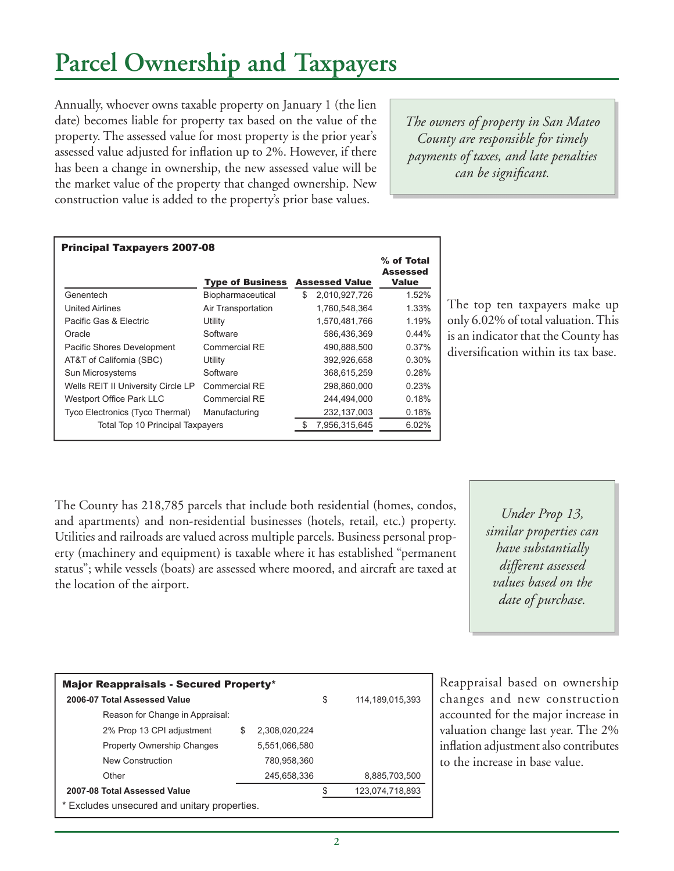## **Parcel Ownership and Taxpayers**

Annually, whoever owns taxable property on January 1 (the lien date) becomes liable for property tax based on the value of the property. The assessed value for most property is the prior year's assessed value adjusted for inflation up to 2%. However, if there has been a change in ownership, the new assessed value will be the market value of the property that changed ownership. New construction value is added to the property's prior base values.

*The owners of property in San Mateo County are responsible for timely payments of taxes, and late penalties can be significant.* 

| <b>Principal Taxpayers 2007-08</b> |                         |    |                       |                                        |  |  |  |  |  |  |
|------------------------------------|-------------------------|----|-----------------------|----------------------------------------|--|--|--|--|--|--|
|                                    | <b>Type of Business</b> |    | <b>Assessed Value</b> | % of Total<br>Assessed<br><b>Value</b> |  |  |  |  |  |  |
| Genentech                          | Biopharmaceutical       | \$ | 2,010,927,726         | 1.52%                                  |  |  |  |  |  |  |
| United Airlines                    | Air Transportation      |    | 1,760,548,364         | 1.33%                                  |  |  |  |  |  |  |
| Pacific Gas & Electric             | Utility                 |    | 1,570,481,766         | 1.19%                                  |  |  |  |  |  |  |
| Oracle                             | Software                |    | 586,436,369           | $0.44\%$                               |  |  |  |  |  |  |
| Pacific Shores Development         | Commercial RE           |    | 490.888.500           | 0.37%                                  |  |  |  |  |  |  |
| AT&T of California (SBC)           | Utility                 |    | 392,926,658           | $0.30\%$                               |  |  |  |  |  |  |
| Sun Microsystems                   | Software                |    | 368,615,259           | 0.28%                                  |  |  |  |  |  |  |
| Wells REIT II University Circle LP | Commercial RE           |    | 298,860,000           | 0.23%                                  |  |  |  |  |  |  |
| Westport Office Park LLC           | Commercial RE           |    | 244,494,000           | 0.18%                                  |  |  |  |  |  |  |
| Tyco Electronics (Tyco Thermal)    | Manufacturing           |    | 232,137,003           | 0.18%                                  |  |  |  |  |  |  |
| Total Top 10 Principal Taxpayers   |                         |    | 7,956,315,645         | 6.02%                                  |  |  |  |  |  |  |

The top ten taxpayers make up only 6.02% of total valuation. This is an indicator that the County has diversification within its tax base.

The County has 218,785 parcels that include both residential (homes, condos, and apartments) and non-residential businesses (hotels, retail, etc.) property. Utilities and railroads are valued across multiple parcels. Business personal property (machinery and equipment) is taxable where it has established "permanent status"; while vessels (boats) are assessed where moored, and aircraft are taxed at the location of the airport.

*Under Prop 13, similar properties can have substantially different assessed values based on the date of purchase.*

| <b>Major Reappraisals - Secured Property*</b>            |   |               |  |               |  |  |  |  |  |  |  |  |
|----------------------------------------------------------|---|---------------|--|---------------|--|--|--|--|--|--|--|--|
| 2006-07 Total Assessed Value<br>\$<br>114, 189, 015, 393 |   |               |  |               |  |  |  |  |  |  |  |  |
| Reason for Change in Appraisal:                          |   |               |  |               |  |  |  |  |  |  |  |  |
| 2% Prop 13 CPI adjustment                                | S | 2,308,020,224 |  |               |  |  |  |  |  |  |  |  |
| <b>Property Ownership Changes</b>                        |   | 5,551,066,580 |  |               |  |  |  |  |  |  |  |  |
| New Construction                                         |   | 780,958,360   |  |               |  |  |  |  |  |  |  |  |
| Other                                                    |   | 245,658,336   |  | 8,885,703,500 |  |  |  |  |  |  |  |  |
| 2007-08 Total Assessed Value<br>123,074,718,893          |   |               |  |               |  |  |  |  |  |  |  |  |
| * Excludes unsecured and unitary properties.             |   |               |  |               |  |  |  |  |  |  |  |  |

Reappraisal based on ownership changes and new construction accounted for the major increase in valuation change last year. The 2% inflation adjustment also contributes to the increase in base value.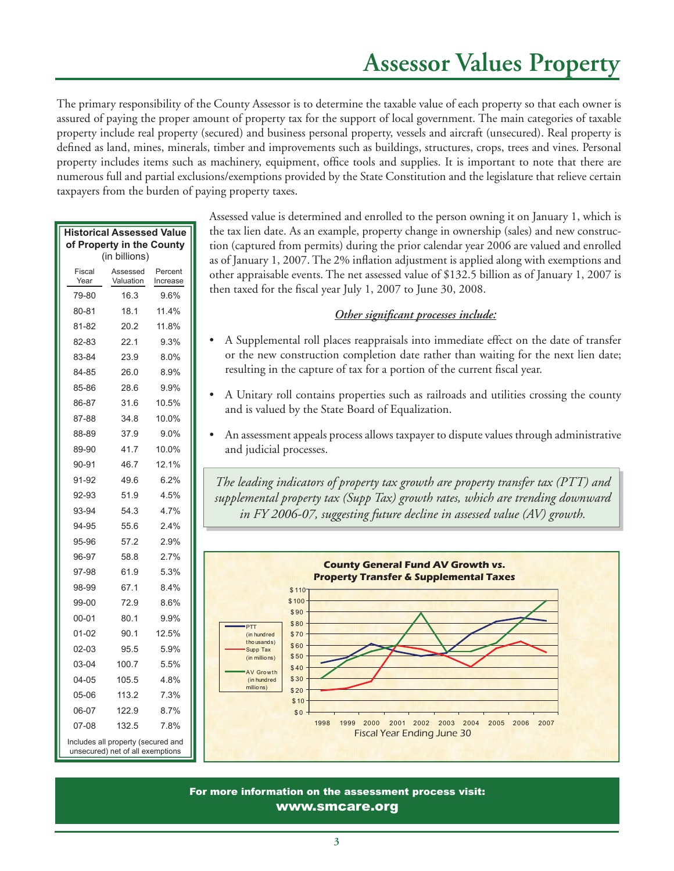### **Assessor Values Property**

The primary responsibility of the County Assessor is to determine the taxable value of each property so that each owner is assured of paying the proper amount of property tax for the support of local government. The main categories of taxable property include real property (secured) and business personal property, vessels and aircraft (unsecured). Real property is defined as land, mines, minerals, timber and improvements such as buildings, structures, crops, trees and vines. Personal property includes items such as machinery, equipment, office tools and supplies. It is important to note that there are numerous full and partial exclusions/exemptions provided by the State Constitution and the legislature that relieve certain taxpayers from the burden of paying property taxes.

| <b>Historical Assessed Value</b><br>of Property in the County |                                                                        |                     |  |  |  |  |  |  |  |  |  |
|---------------------------------------------------------------|------------------------------------------------------------------------|---------------------|--|--|--|--|--|--|--|--|--|
| (in billions)                                                 |                                                                        |                     |  |  |  |  |  |  |  |  |  |
| Fiscal<br>Year                                                | Assessed<br>Valuation                                                  | Percent<br>Increase |  |  |  |  |  |  |  |  |  |
| 79-80                                                         | 16.3                                                                   | 9.6%                |  |  |  |  |  |  |  |  |  |
| 80-81                                                         | 18.1                                                                   | 11.4%               |  |  |  |  |  |  |  |  |  |
| 81-82                                                         | 20.2                                                                   | 11.8%               |  |  |  |  |  |  |  |  |  |
| 82-83                                                         | 22.1                                                                   | 9.3%                |  |  |  |  |  |  |  |  |  |
| 83-84                                                         | 23.9                                                                   | 8.0%                |  |  |  |  |  |  |  |  |  |
| 84-85                                                         | 26.0                                                                   | 8.9%                |  |  |  |  |  |  |  |  |  |
| 85-86                                                         | 28.6                                                                   | 9.9%                |  |  |  |  |  |  |  |  |  |
| 86-87                                                         | 31.6                                                                   | 10.5%               |  |  |  |  |  |  |  |  |  |
| 87-88                                                         | 34.8                                                                   | 10.0%               |  |  |  |  |  |  |  |  |  |
| 88-89                                                         | 37.9                                                                   | 9.0%                |  |  |  |  |  |  |  |  |  |
| 89-90                                                         | 41.7                                                                   | 10.0%               |  |  |  |  |  |  |  |  |  |
| 90-91                                                         | 46.7                                                                   | 12.1%               |  |  |  |  |  |  |  |  |  |
| 91-92                                                         | 49.6                                                                   | 6.2%                |  |  |  |  |  |  |  |  |  |
| 92-93                                                         | 51.9                                                                   | 4.5%                |  |  |  |  |  |  |  |  |  |
| 93-94                                                         | 54.3                                                                   | 4.7%                |  |  |  |  |  |  |  |  |  |
| 94-95                                                         | 55.6                                                                   | 2.4%                |  |  |  |  |  |  |  |  |  |
| 95-96                                                         | 57.2                                                                   | 2.9%                |  |  |  |  |  |  |  |  |  |
| 96-97                                                         | 58.8                                                                   | 2.7%                |  |  |  |  |  |  |  |  |  |
| 97-98                                                         | 61.9                                                                   | 5.3%                |  |  |  |  |  |  |  |  |  |
| 98-99                                                         | 67.1                                                                   | 8.4%                |  |  |  |  |  |  |  |  |  |
| 99-00                                                         | 72.9                                                                   | 8.6%                |  |  |  |  |  |  |  |  |  |
| 00-01                                                         | 80.1                                                                   | 9.9%                |  |  |  |  |  |  |  |  |  |
| $01 - 02$                                                     | 90.1                                                                   | 12.5%               |  |  |  |  |  |  |  |  |  |
| $02-03$                                                       | 95.5                                                                   | 5.9%                |  |  |  |  |  |  |  |  |  |
| 03-04                                                         | 100.7                                                                  | 5.5%                |  |  |  |  |  |  |  |  |  |
| 04-05                                                         | 105.5                                                                  | 4.8%                |  |  |  |  |  |  |  |  |  |
| 05-06                                                         | 113.2                                                                  | 7.3%                |  |  |  |  |  |  |  |  |  |
| 06-07                                                         | 122.9                                                                  | 8.7%                |  |  |  |  |  |  |  |  |  |
| 07-08                                                         | 132.5                                                                  | 7.8%                |  |  |  |  |  |  |  |  |  |
|                                                               | Includes all property (secured and<br>unsecured) net of all exemptions |                     |  |  |  |  |  |  |  |  |  |

Assessed value is determined and enrolled to the person owning it on January 1, which is the tax lien date. As an example, property change in ownership (sales) and new construction (captured from permits) during the prior calendar year 2006 are valued and enrolled as of January 1, 2007. The 2% inflation adjustment is applied along with exemptions and other appraisable events. The net assessed value of \$132.5 billion as of January 1, 2007 is then taxed for the fiscal year July 1, 2007 to June 30, 2008.

### **Other significant processes include:**

- A Supplemental roll places reappraisals into immediate effect on the date of transfer or the new construction completion date rather than waiting for the next lien date; resulting in the capture of tax for a portion of the current fiscal year.
- A Unitary roll contains properties such as railroads and utilities crossing the county and is valued by the State Board of Equalization.
- An assessment appeals process allows taxpayer to dispute values through administrative and judicial processes.

*The leading indicators of property tax growth are property transfer tax (PTT) and supplemental property tax (Supp Tax) growth rates, which are trending downward in FY 2006-07, suggesting future decline in assessed value (AV) growth.*



For more information on the assessment process visit: www.smcare.org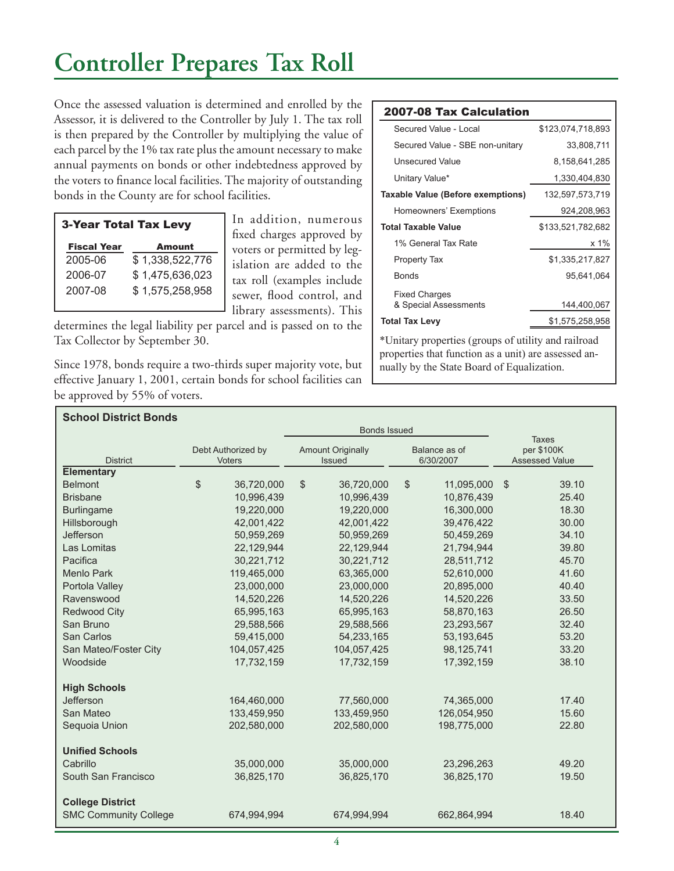## **Controller Prepares Tax Roll**

Once the assessed valuation is determined and enrolled by the Assessor, it is delivered to the Controller by July 1. The tax roll is then prepared by the Controller by multiplying the value of each parcel by the 1% tax rate plus the amount necessary to make annual payments on bonds or other indebtedness approved by the voters to finance local facilities. The majority of outstanding bonds in the County are for school facilities.

| <b>3-Year Total Tax Levy</b> |                 |  |  |  |  |  |  |  |  |
|------------------------------|-----------------|--|--|--|--|--|--|--|--|
| <b>Fiscal Year</b>           | Amount          |  |  |  |  |  |  |  |  |
| 2005-06                      | \$1,338,522,776 |  |  |  |  |  |  |  |  |
| 2006-07                      | \$1,475,636,023 |  |  |  |  |  |  |  |  |
| 2007-08                      | \$1,575,258,958 |  |  |  |  |  |  |  |  |

In addition, numerous fixed charges approved by voters or permitted by legislation are added to the tax roll (examples include sewer, flood control, and library assessments). This

determines the legal liability per parcel and is passed on to the Tax Collector by September 30.

Since 1978, bonds require a two-thirds super majority vote, but effective January 1, 2001, certain bonds for school facilities can be approved by 55% of voters.

#### 2007-08 Tax Calculation

| Secured Value - Local             | \$123,074,718,893 |
|-----------------------------------|-------------------|
| Secured Value - SBE non-unitary   | 33,808,711        |
| Unsecured Value                   | 8,158,641,285     |
| Unitary Value*                    | 1,330,404,830     |
| Taxable Value (Before exemptions) | 132,597,573,719   |
| Homeowners' Exemptions            | 924,208,963       |
| <b>Total Taxable Value</b>        | \$133,521,782,682 |
| 1% General Tax Rate               | x 1%              |
| <b>Property Tax</b>               | \$1,335,217,827   |
| Bonds                             | 95.641.064        |
| <b>Fixed Charges</b>              |                   |
| & Special Assessments             | 144,400,067       |
| <b>Total Tax Levy</b>             | \$1,575,258,958   |
|                                   |                   |

\*Unitary properties (groups of utility and railroad properties that function as a unit) are assessed annually by the State Board of Equalization.

| <b>School District Bonds</b> |    |                                     |                     |                                           |    |                            |                                                     |       |
|------------------------------|----|-------------------------------------|---------------------|-------------------------------------------|----|----------------------------|-----------------------------------------------------|-------|
|                              |    |                                     | <b>Bonds Issued</b> |                                           |    |                            |                                                     |       |
| <b>District</b>              |    | Debt Authorized by<br><b>Voters</b> |                     | <b>Amount Originally</b><br><b>Issued</b> |    | Balance as of<br>6/30/2007 | <b>Taxes</b><br>per \$100K<br><b>Assessed Value</b> |       |
| <b>Elementary</b>            |    |                                     |                     |                                           |    |                            |                                                     |       |
| <b>Belmont</b>               | \$ | 36,720,000                          | \$                  | 36,720,000                                | \$ | 11,095,000                 | \$                                                  | 39.10 |
| <b>Brisbane</b>              |    | 10,996,439                          |                     | 10,996,439                                |    | 10,876,439                 |                                                     | 25.40 |
| <b>Burlingame</b>            |    | 19,220,000                          |                     | 19,220,000                                |    | 16,300,000                 |                                                     | 18.30 |
| Hillsborough                 |    | 42,001,422                          |                     | 42,001,422                                |    | 39,476,422                 |                                                     | 30.00 |
| Jefferson                    |    | 50,959,269                          |                     | 50,959,269                                |    | 50,459,269                 |                                                     | 34.10 |
| Las Lomitas                  |    | 22,129,944                          |                     | 22,129,944                                |    | 21,794,944                 |                                                     | 39.80 |
| Pacifica                     |    | 30,221,712                          |                     | 30,221,712                                |    | 28,511,712                 |                                                     | 45.70 |
| <b>Menlo Park</b>            |    | 119,465,000                         |                     | 63,365,000                                |    | 52,610,000                 |                                                     | 41.60 |
| Portola Valley               |    | 23,000,000                          |                     | 23,000,000                                |    | 20,895,000                 |                                                     | 40.40 |
| Ravenswood                   |    | 14,520,226                          |                     | 14,520,226                                |    | 14,520,226                 |                                                     | 33.50 |
| <b>Redwood City</b>          |    | 65,995,163                          |                     | 65,995,163                                |    | 58,870,163                 |                                                     | 26.50 |
| San Bruno                    |    | 29,588,566                          |                     | 29,588,566                                |    | 23,293,567                 |                                                     | 32.40 |
| San Carlos                   |    | 59,415,000                          |                     | 54,233,165                                |    | 53,193,645                 |                                                     | 53.20 |
| San Mateo/Foster City        |    | 104,057,425                         |                     | 104,057,425                               |    | 98,125,741                 |                                                     | 33.20 |
| Woodside                     |    | 17,732,159                          |                     | 17,732,159                                |    | 17,392,159                 |                                                     | 38.10 |
| <b>High Schools</b>          |    |                                     |                     |                                           |    |                            |                                                     |       |
| <b>Jefferson</b>             |    | 164,460,000                         |                     | 77,560,000                                |    | 74,365,000                 |                                                     | 17.40 |
| San Mateo                    |    | 133,459,950                         |                     | 133,459,950                               |    | 126,054,950                |                                                     | 15.60 |
| Sequoia Union                |    | 202,580,000                         |                     | 202,580,000                               |    | 198,775,000                |                                                     | 22.80 |
| <b>Unified Schools</b>       |    |                                     |                     |                                           |    |                            |                                                     |       |
| Cabrillo                     |    | 35,000,000                          |                     | 35,000,000                                |    | 23,296,263                 |                                                     | 49.20 |
| South San Francisco          |    | 36,825,170                          |                     | 36,825,170                                |    | 36,825,170                 |                                                     | 19.50 |
| <b>College District</b>      |    |                                     |                     |                                           |    |                            |                                                     |       |
| <b>SMC Community College</b> |    | 674,994,994                         |                     | 674,994,994                               |    | 662,864,994                |                                                     | 18.40 |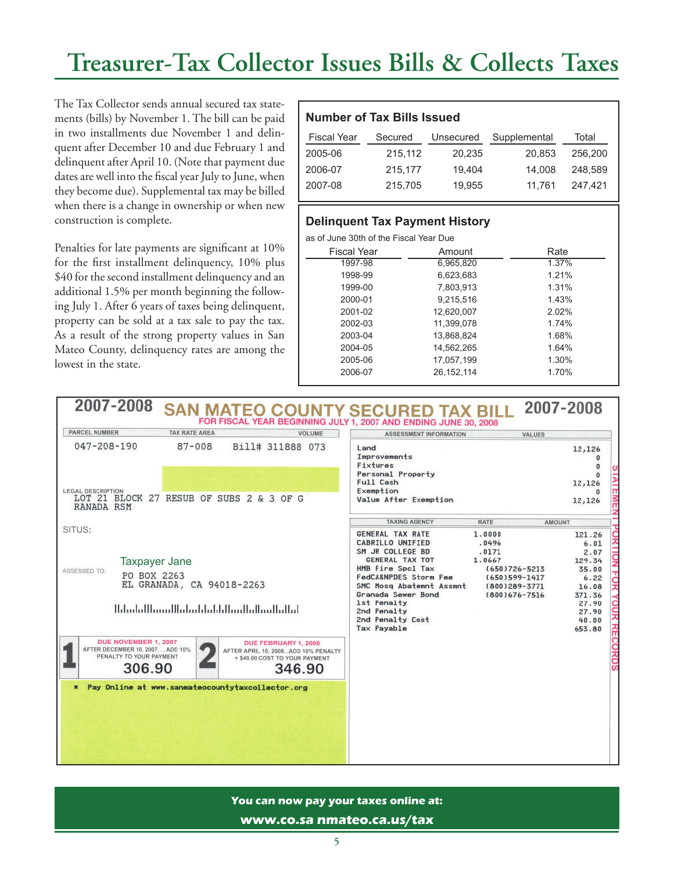## **Treasurer-Tax Collector Issues Bills & Collects Taxes**

The Tax Collector sends annual secured tax statements (bills) by November 1. The bill can be paid in two installments due November 1 and delinquent after December 10 and due February 1 and delinquent after April 10. (Note that payment due dates are well into the fiscal year July to June, when they become due). Supplemental tax may be billed when there is a change in ownership or when new construction is complete.

Penalties for late payments are significant at 10% for the first installment delinquency, 10% plus \$40 for the second installment delinquency and an additional 1.5% per month beginning the following July 1. After 6 years of taxes being delinquent, property can be sold at a tax sale to pay the tax. As a result of the strong property values in San Mateo County, delinquency rates are among the lowest in the state.

### **Number of Tax Bills Issued**

| <b>Fiscal Year</b> | Secured | Unsecured | Supplemental | Total   |
|--------------------|---------|-----------|--------------|---------|
| 2005-06            | 215.112 | 20.235    | 20.853       | 256,200 |
| 2006-07            | 215.177 | 19.404    | 14.008       | 248.589 |
| 2007-08            | 215,705 | 19.955    | 11.761       | 247.421 |

### **Delinquent Tax Payment History**

as of June 30th of the Fiscal Year Due

| <b>Fiscal Year</b> | Amount     | Rate  |
|--------------------|------------|-------|
| 1997-98            | 6,965,820  | 1.37% |
| 1998-99            | 6,623,683  | 1.21% |
| 1999-00            | 7.803.913  | 1.31% |
| 2000-01            | 9,215,516  | 1.43% |
| 2001-02            | 12,620,007 | 2.02% |
| 2002-03            | 11,399,078 | 1.74% |
| 2003-04            | 13,868,824 | 1.68% |
| 2004-05            | 14,562,265 | 1.64% |
| 2005-06            | 17.057.199 | 1.30% |
| 2006-07            | 26,152,114 | 1.70% |
|                    |            |       |

#### 2007-2008 2007-2008 SAN MATEO COUNTY SECURED TAX BILL FOR FISCAL YEAR BEGINNING JULY 1, 2007 AND ENDING JUNE 30, 2008 PARCEL NUMBER **TAX RATE AREA VOLUME** ASSESSMENT INFORMATION **VALUES** 047-208-190  $87 - 008$ Bill# 311888 073 Land 12,126 Improvements  $\mathbf{0}$ Fixtures  $\mathbf{0}$ Personal Property  $\bf{0}$ Full Cash 12,126 LEGAL DESCRIPTION<br>LOT 21 BLOCK 27 RESUB OF SUBS 2 & 3 OF G Exemption  $\Omega$ Value After Exemption 12,126 **RANADA RSM TAXING AGENCY RATE AMOUNT** SITUS: **GENERAL TAX RATE** 1.0000 121.26 CABRILLO UNIFIED .0496  $6.01$ SM JR COLLEGE BD  $2.07$  $.0171$ 129.34 GENERAL TAX TOT 1.0667 Taxpayer JaneHMB Fire Spcl Tax  $(650)726 - 5213$ 35.00 ASSESSED TO: PO BOX 2263 FedCA&NPDES Storm Fee (650)599-1417  $6.22$ EL GRANADA, CA 94018-2263 SMC Mosq Abatemnt Assmnt (800)289-3771 16.08 Granada Sewer Bond  $(800)676 - 7516$ 371.36 1st Penalty 27.90 <u> Սժահվետակեժակժվվակակակացիկել</u> 2nd Penalty 27.90 2nd Penalty Cost 40.00 **Tax Payable** 653.80 DUE NOVEMBER 1, 2007 DUE FEBRUARY 1, 2008 AFTER DECEMBER 10, 2007. .. ADD 10% AFTER APRIL 10, 2008...ADD 10% PENALTY PENALTY TO YOUR PAYMENT + \$40.00 COST TO YOUR PAYMENT 306.90 346.90 Pay Online at www.sanmateocountytaxcollector.org

### **You can now pay your taxes online at: www.co.sa nmateo.ca.us/tax**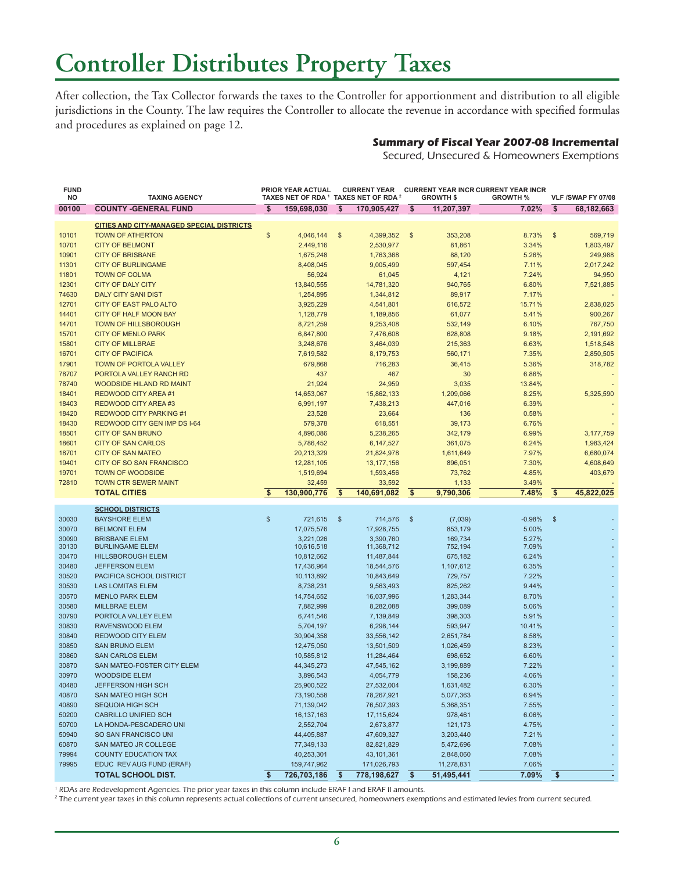## **Controller Distributes Property Taxes**

After collection, the Tax Collector forwards the taxes to the Controller for apportionment and distribution to all eligible jurisdictions in the County. The law requires the Controller to allocate the revenue in accordance with specified formulas and procedures as explained on page 12.

### **Summary of Fiscal Year 2007-08 Incremental**

Secured, Unsecured & Homeowners Exemptions

| <b>FUND</b><br>NO | <b>TAXING AGENCY</b>                               |                         | <b>PRIOR YEAR ACTUAL</b><br>TAXES NET OF RDA 1 TAXES NET OF RDA 2 |                         | <b>CURRENT YEAR</b>      | <b>GROWTH \$</b>        |                      | <b>CURRENT YEAR INCR CURRENT YEAR INCR</b><br><b>GROWTH %</b> |                         | VLF /SWAP FY 07/08 |  |
|-------------------|----------------------------------------------------|-------------------------|-------------------------------------------------------------------|-------------------------|--------------------------|-------------------------|----------------------|---------------------------------------------------------------|-------------------------|--------------------|--|
| 00100             | <b>COUNTY - GENERAL FUND</b>                       | $\overline{\mathbf{s}}$ | 159,698,030                                                       | $\overline{\mathbf{s}}$ | 170,905,427              | $\overline{\mathbf{s}}$ | 11,207,397           | 7.02%                                                         | $\overline{\mathbf{s}}$ | 68,182,663         |  |
|                   | <b>CITIES AND CITY-MANAGED SPECIAL DISTRICTS</b>   |                         |                                                                   |                         |                          |                         |                      |                                                               |                         |                    |  |
| 10101             | <b>TOWN OF ATHERTON</b>                            | \$                      | 4,046,144                                                         | $\frac{1}{2}$           | 4,399,352                | $\mathfrak{F}$          | 353,208              | 8.73%                                                         | $\sqrt[6]{3}$           | 569,719            |  |
| 10701             | <b>CITY OF BELMONT</b>                             |                         | 2,449,116                                                         |                         | 2,530,977                |                         | 81,861               | 3.34%                                                         |                         | 1,803,497          |  |
| 10901             | <b>CITY OF BRISBANE</b>                            |                         | 1,675,248                                                         |                         | 1,763,368                |                         | 88,120               | 5.26%                                                         |                         | 249,988            |  |
| 11301             | <b>CITY OF BURLINGAME</b>                          |                         | 8,408,045                                                         |                         | 9,005,499                |                         | 597,454              | 7.11%                                                         |                         | 2,017,242          |  |
| 11801             | <b>TOWN OF COLMA</b>                               |                         | 56,924                                                            |                         | 61,045                   |                         | 4,121                | 7.24%                                                         |                         | 94,950             |  |
| 12301             | <b>CITY OF DALY CITY</b>                           |                         | 13,840,555                                                        |                         | 14,781,320               |                         | 940,765              | 6.80%                                                         |                         | 7,521,885          |  |
| 74630             | <b>DALY CITY SANI DIST</b>                         |                         | 1,254,895                                                         |                         | 1,344,812                |                         | 89,917               | 7.17%                                                         |                         |                    |  |
| 12701             | <b>CITY OF EAST PALO ALTO</b>                      |                         | 3,925,229                                                         |                         | 4,541,801                |                         | 616,572              | 15.71%                                                        |                         | 2,838,025          |  |
| 14401             | <b>CITY OF HALF MOON BAY</b>                       |                         | 1,128,779                                                         |                         | 1,189,856                |                         | 61,077               | 5.41%                                                         |                         | 900,267            |  |
| 14701             | <b>TOWN OF HILLSBOROUGH</b>                        |                         | 8,721,259                                                         |                         | 9,253,408                |                         | 532,149              | 6.10%                                                         |                         | 767,750            |  |
| 15701             | <b>CITY OF MENLO PARK</b>                          |                         | 6,847,800                                                         |                         | 7,476,608                |                         | 628,808              | 9.18%                                                         |                         | 2,191,692          |  |
| 15801             | <b>CITY OF MILLBRAE</b>                            |                         | 3,248,676                                                         |                         | 3,464,039                |                         | 215,363              | 6.63%                                                         |                         | 1,518,548          |  |
| 16701             | <b>CITY OF PACIFICA</b>                            |                         | 7,619,582                                                         |                         | 8,179,753                |                         | 560,171              | 7.35%                                                         |                         | 2,850,505          |  |
| 17901             | TOWN OF PORTOLA VALLEY                             |                         | 679,868                                                           |                         | 716,283                  |                         | 36,415               | 5.36%                                                         |                         | 318,782            |  |
| 78707             | PORTOLA VALLEY RANCH RD                            |                         | 437                                                               |                         | 467                      |                         | 30                   | 6.86%                                                         |                         |                    |  |
| 78740             | <b>WOODSIDE HILAND RD MAINT</b>                    |                         | 21,924                                                            |                         | 24,959                   |                         | 3,035                | 13.84%                                                        |                         |                    |  |
| 18401             | REDWOOD CITY AREA#1                                |                         | 14,653,067                                                        |                         | 15,862,133               |                         | 1,209,066            | 8.25%                                                         |                         | 5,325,590          |  |
| 18403             | REDWOOD CITY AREA#3                                |                         | 6,991,197                                                         |                         | 7,438,213                |                         | 447,016              | 6.39%                                                         |                         |                    |  |
| 18420             | <b>REDWOOD CITY PARKING #1</b>                     |                         | 23,528                                                            |                         | 23,664                   |                         | 136                  | 0.58%                                                         |                         |                    |  |
| 18430             | REDWOOD CITY GEN IMP DS I-64                       |                         | 579,378                                                           |                         | 618,551                  |                         | 39,173               | 6.76%                                                         |                         |                    |  |
| 18501             | <b>CITY OF SAN BRUNO</b>                           |                         | 4,896,086                                                         |                         | 5,238,265                |                         | 342,179              | 6.99%                                                         |                         | 3,177,759          |  |
| 18601             | <b>CITY OF SAN CARLOS</b>                          |                         | 5,786,452                                                         |                         | 6,147,527                |                         | 361,075              | 6.24%                                                         |                         | 1,983,424          |  |
| 18701             | <b>CITY OF SAN MATEO</b>                           |                         | 20,213,329                                                        |                         | 21,824,978               |                         | 1,611,649            | 7.97%                                                         |                         | 6,680,074          |  |
| 19401             | CITY OF SO SAN FRANCISCO                           |                         | 12,281,105                                                        |                         | 13, 177, 156             |                         | 896,051              | 7.30%                                                         |                         | 4,608,649          |  |
| 19701             | <b>TOWN OF WOODSIDE</b>                            |                         | 1,519,694                                                         |                         | 1,593,456                |                         | 73,762               | 4.85%                                                         |                         | 403,679            |  |
| 72810             | <b>TOWN CTR SEWER MAINT</b><br><b>TOTAL CITIES</b> | \$                      | 32,459<br>130,900,776                                             | \$                      | 33,592<br>140,691,082    | \$                      | 1,133<br>9,790,306   | 3.49%<br>7.48%                                                | \$                      | 45,822,025         |  |
|                   |                                                    |                         |                                                                   |                         |                          |                         |                      |                                                               |                         |                    |  |
|                   | <b>SCHOOL DISTRICTS</b>                            |                         |                                                                   |                         |                          |                         |                      |                                                               |                         |                    |  |
| 30030             | <b>BAYSHORE ELEM</b>                               | $\mathbb{S}$            | 721,615                                                           | \$                      | 714,576                  | $\mathfrak{F}$          | (7,039)              | $-0.98%$                                                      | $\mathbb{S}$            |                    |  |
| 30070             | <b>BELMONT ELEM</b>                                |                         | 17,075,576                                                        |                         | 17,928,755               |                         | 853,179              | 5.00%                                                         |                         |                    |  |
| 30090             | <b>BRISBANE ELEM</b>                               |                         | 3,221,026                                                         |                         | 3,390,760                |                         | 169,734              | 5.27%                                                         |                         |                    |  |
| 30130<br>30470    | <b>BURLINGAME ELEM</b><br><b>HILLSBOROUGH ELEM</b> |                         | 10,616,518                                                        |                         | 11,368,712               |                         | 752,194              | 7.09%<br>6.24%                                                |                         |                    |  |
| 30480             | <b>JEFFERSON ELEM</b>                              |                         | 10,812,662<br>17,436,964                                          |                         | 11,487,844<br>18,544,576 |                         | 675,182<br>1,107,612 | 6.35%                                                         |                         |                    |  |
| 30520             | PACIFICA SCHOOL DISTRICT                           |                         | 10,113,892                                                        |                         | 10,843,649               |                         | 729,757              | 7.22%                                                         |                         |                    |  |
| 30530             | <b>LAS LOMITAS ELEM</b>                            |                         | 8,738,231                                                         |                         | 9,563,493                |                         | 825,262              | 9.44%                                                         |                         |                    |  |
| 30570             | <b>MENLO PARK ELEM</b>                             |                         | 14,754,652                                                        |                         | 16,037,996               |                         | 1,283,344            | 8.70%                                                         |                         |                    |  |
| 30580             | <b>MILLBRAE ELEM</b>                               |                         | 7,882,999                                                         |                         | 8,282,088                |                         | 399,089              | 5.06%                                                         |                         |                    |  |
| 30790             | PORTOLA VALLEY ELEM                                |                         | 6,741,546                                                         |                         | 7,139,849                |                         | 398,303              | 5.91%                                                         |                         |                    |  |
| 30830             | RAVENSWOOD ELEM                                    |                         | 5,704,197                                                         |                         | 6,298,144                |                         | 593.947              | 10.41%                                                        |                         |                    |  |
| 30840             | <b>REDWOOD CITY ELEM</b>                           |                         | 30,904,358                                                        |                         | 33,556,142               |                         | 2,651,784            | 8.58%                                                         |                         |                    |  |
| 30850             | <b>SAN BRUNO ELEM</b>                              |                         | 12,475,050                                                        |                         | 13,501,509               |                         | 1,026,459            | 8.23%                                                         |                         |                    |  |
| 30860             | <b>SAN CARLOS ELEM</b>                             |                         | 10,585,812                                                        |                         | 11,284,464               |                         | 698,652              | 6.60%                                                         |                         |                    |  |
| 30870             | SAN MATEO-FOSTER CITY ELEM                         |                         | 44,345,273                                                        |                         | 47,545,162               |                         | 3,199,889            | 7.22%                                                         |                         |                    |  |
| 30970             | <b>WOODSIDE ELEM</b>                               |                         | 3,896,543                                                         |                         | 4,054,779                |                         | 158,236              | 4.06%                                                         |                         |                    |  |
| 40480             | JEFFERSON HIGH SCH                                 |                         | 25,900,522                                                        |                         | 27,532,004               |                         | 1,631,482            | 6.30%                                                         |                         |                    |  |
| 40870             | SAN MATEO HIGH SCH                                 |                         | 73,190,558                                                        |                         | 78,267,921               |                         | 5,077,363            | 6.94%                                                         |                         |                    |  |
| 40890             | <b>SEQUOIA HIGH SCH</b>                            |                         | 71,139,042                                                        |                         | 76,507,393               |                         | 5,368,351            | 7.55%                                                         |                         |                    |  |
| 50200             | <b>CABRILLO UNIFIED SCH</b>                        |                         | 16, 137, 163                                                      |                         | 17, 115, 624             |                         | 978,461              | 6.06%                                                         |                         |                    |  |
| 50700             | LA HONDA-PESCADERO UNI                             |                         | 2,552,704                                                         |                         | 2,673,877                |                         | 121,173              | 4.75%                                                         |                         |                    |  |
| 50940             | SO SAN FRANCISCO UNI                               |                         | 44,405,887                                                        |                         | 47,609,327               |                         | 3,203,440            | 7.21%                                                         |                         |                    |  |
| 60870             | SAN MATEO JR COLLEGE                               |                         | 77,349,133                                                        |                         | 82,821,829               |                         | 5,472,696            | 7.08%                                                         |                         |                    |  |
| 79994             | <b>COUNTY EDUCATION TAX</b>                        |                         | 40,253,301                                                        |                         | 43,101,361               |                         | 2,848,060            | 7.08%                                                         |                         |                    |  |
| 79995             | EDUC REV AUG FUND (ERAF)                           |                         | 159,747,962                                                       |                         | 171,026,793              |                         | 11,278,831           | 7.06%                                                         |                         |                    |  |
|                   | <b>TOTAL SCHOOL DIST.</b>                          | \$                      | 726,703,186                                                       | \$                      | 778,198,627              | -\$                     | 51,495,441           | 7.09%                                                         | \$                      |                    |  |

1 RDAs are Redevelopment Agencies. The prior year taxes in this column include ERAF I and ERAF II amounts.

<sup>2</sup> The current year taxes in this column represents actual collections of current unsecured, homeowners exemptions and estimated levies from current secured.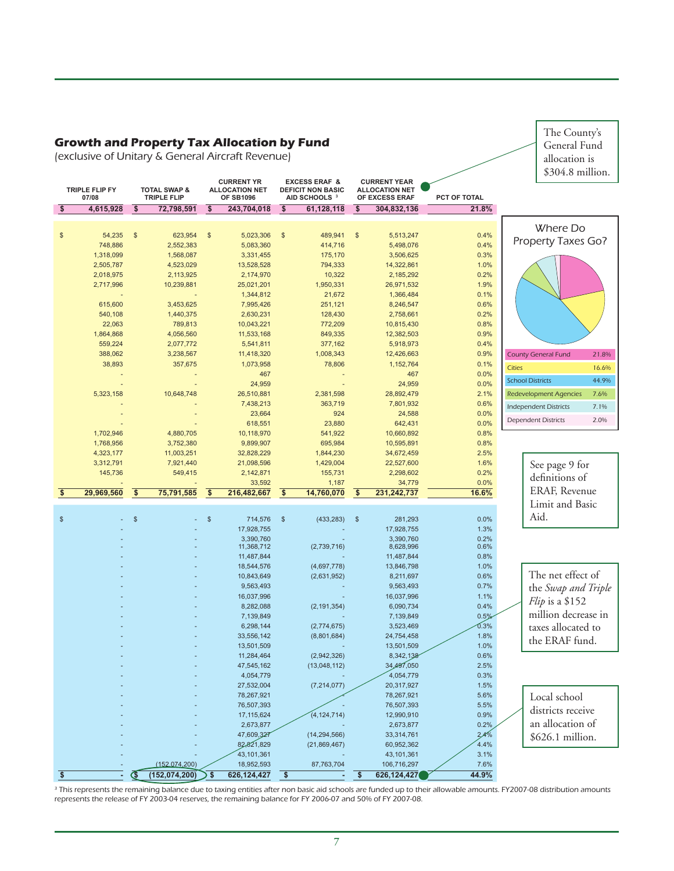### **Growth and Property Tax Allocation by Fund**

(exclusive of Unitary & General Aircraft Revenue)

The County's General Fund allocation is \$304.8 million.

| TRIPLE FLIP FY                        |                         | <b>TOTAL SWAP &amp;</b> |                           | <b>CURRENT YR</b><br><b>ALLOCATION NET</b> |                           | <b>EXCESS ERAF &amp;</b><br><b>DEFICIT NON BASIC</b> |                         | <b>CURRENT YEAR</b><br><b>ALLOCATION NET</b> |              |               |                               |       |
|---------------------------------------|-------------------------|-------------------------|---------------------------|--------------------------------------------|---------------------------|------------------------------------------------------|-------------------------|----------------------------------------------|--------------|---------------|-------------------------------|-------|
| 07/08                                 |                         | <b>TRIPLE FLIP</b>      |                           | <b>OF SB1096</b>                           |                           | AID SCHOOLS <sup>3</sup>                             |                         | OF EXCESS ERAF                               | PCT OF TOTAL |               |                               |       |
| $\sqrt[6]{3}$<br>4,615,928            | $\overline{\$}$         | 72,798,591              | $\overline{\mathfrak{s}}$ | 243,704,018                                | $\overline{\mathbf{s}}$   | 61,128,118                                           | $\overline{\mathbf{s}}$ | 304,832,136                                  | 21.8%        |               |                               |       |
|                                       |                         |                         |                           |                                            |                           |                                                      |                         |                                              |              |               |                               |       |
|                                       |                         |                         |                           |                                            |                           |                                                      |                         |                                              |              |               | Where Do                      |       |
| \$<br>54,235                          | $\sqrt[6]{3}$           | 623,954                 | $\sqrt[6]{3}$             | 5,023,306                                  | $\sqrt{3}$                | 489,941                                              | $\sqrt[6]{\frac{1}{2}}$ | 5,513,247                                    | 0.4%         |               | Property Taxes Go?            |       |
| 748,886                               |                         | 2,552,383               |                           | 5,083,360                                  |                           | 414,716                                              |                         | 5,498,076                                    | 0.4%         |               |                               |       |
| 1,318,099<br>2,505,787                |                         | 1,568,087<br>4,523,029  |                           | 3,331,455<br>13,528,528                    |                           | 175,170<br>794,333                                   |                         | 3,506,625<br>14,322,861                      | 0.3%<br>1.0% |               |                               |       |
| 2,018,975                             |                         | 2,113,925               |                           | 2,174,970                                  |                           | 10,322                                               |                         | 2,185,292                                    | 0.2%         |               |                               |       |
| 2,717,996                             |                         | 10,239,881              |                           | 25,021,201                                 |                           | 1,950,331                                            |                         | 26,971,532                                   | 1.9%         |               |                               |       |
|                                       |                         |                         |                           | 1,344,812                                  |                           | 21,672                                               |                         | 1,366,484                                    | 0.1%         |               |                               |       |
| 615,600                               |                         | 3,453,625               |                           | 7,995,426                                  |                           | 251,121                                              |                         | 8,246,547                                    | 0.6%         |               |                               |       |
| 540,108                               |                         | 1,440,375               |                           | 2,630,231                                  |                           | 128,430                                              |                         | 2,758,661                                    | 0.2%         |               |                               |       |
| 22,063                                |                         | 789,813                 |                           | 10,043,221                                 |                           | 772,209                                              |                         | 10,815,430                                   | 0.8%         |               |                               |       |
| 1,864,868                             |                         | 4,056,560               |                           | 11,533,168                                 |                           | 849,335                                              |                         | 12,382,503                                   | 0.9%         |               |                               |       |
| 559,224                               |                         | 2,077,772               |                           | 5,541,811                                  |                           | 377,162                                              |                         | 5,918,973                                    | 0.4%         |               |                               |       |
| 388,062                               |                         | 3,238,567               |                           | 11,418,320                                 |                           | 1,008,343                                            |                         | 12,426,663                                   | 0.9%         |               | <b>County General Fund</b>    | 21.8% |
| 38,893                                |                         | 357,675                 |                           | 1,073,958                                  |                           | 78,806                                               |                         | 1,152,764                                    | 0.1%         | <b>Cities</b> |                               | 16.6% |
|                                       |                         |                         |                           | 467                                        |                           |                                                      |                         | 467                                          | 0.0%         |               |                               |       |
|                                       |                         |                         |                           | 24,959                                     |                           |                                                      |                         | 24,959                                       | 0.0%         |               | <b>School Districts</b>       | 44.9% |
| 5,323,158                             |                         | 10,648,748              |                           | 26,510,881                                 |                           | 2,381,598                                            |                         | 28,892,479                                   | 2.1%         |               | <b>Redevelopment Agencies</b> | 7.6%  |
|                                       |                         |                         |                           | 7,438,213                                  |                           | 363,719                                              |                         | 7,801,932                                    | 0.6%         |               | <b>Independent Districts</b>  | 7.1%  |
|                                       |                         |                         |                           | 23,664                                     |                           | 924                                                  |                         | 24,588                                       | 0.0%         |               | <b>Dependent Districts</b>    | 2.0%  |
|                                       |                         |                         |                           | 618,551                                    |                           | 23,880                                               |                         | 642,431                                      | 0.0%         |               |                               |       |
| 1,702,946                             |                         | 4,880,705               |                           | 10,118,970                                 |                           | 541,922                                              |                         | 10,660,892                                   | 0.8%         |               |                               |       |
| 1,768,956                             |                         | 3,752,380               |                           | 9,899,907                                  |                           | 695,984                                              |                         | 10,595,891                                   | 0.8%         |               |                               |       |
| 4,323,177                             |                         | 11,003,251              |                           | 32,828,229                                 |                           | 1,844,230                                            |                         | 34,672,459                                   | 2.5%<br>1.6% |               |                               |       |
| 3,312,791<br>145,736                  |                         | 7,921,440<br>549,415    |                           | 21,098,596<br>2,142,871                    |                           | 1,429,004<br>155,731                                 |                         | 22,527,600<br>2,298,602                      | 0.2%         |               | See page 9 for                |       |
|                                       |                         |                         |                           | 33,592                                     |                           | 1,187                                                |                         | 34,779                                       | 0.0%         |               | definitions of                |       |
| $\overline{\mathbf{s}}$<br>29,969,560 | $\overline{\$}$         | 75,791,585              | $\overline{\$}$           | 216,482,667                                | $\overline{\mathfrak{s}}$ | 14,760,070                                           | $\overline{\mathbf{3}}$ | 231,242,737                                  | 16.6%        |               | ERAF, Revenue                 |       |
|                                       |                         |                         |                           |                                            |                           |                                                      |                         |                                              |              |               | Limit and Basic               |       |
|                                       |                         |                         |                           |                                            |                           |                                                      |                         |                                              |              |               | Aid.                          |       |
| \$                                    | $\mathbb{S}$            |                         | $\mathbb{S}$              | 714,576                                    | $\sqrt[6]{3}$             | (433, 283)                                           | $\mathfrak{F}$          | 281,293                                      | 0.0%         |               |                               |       |
|                                       |                         |                         |                           | 17,928,755                                 |                           |                                                      |                         | 17,928,755                                   | 1.3%         |               |                               |       |
|                                       |                         |                         |                           | 3,390,760<br>11,368,712                    |                           | (2,739,716)                                          |                         | 3,390,760<br>8,628,996                       | 0.2%<br>0.6% |               |                               |       |
|                                       |                         |                         |                           | 11,487,844                                 |                           |                                                      |                         | 11,487,844                                   | 0.8%         |               |                               |       |
|                                       |                         |                         |                           | 18,544,576                                 |                           | (4,697,778)                                          |                         | 13,846,798                                   | 1.0%         |               |                               |       |
|                                       |                         |                         |                           | 10,843,649                                 |                           | (2,631,952)                                          |                         | 8,211,697                                    | 0.6%         |               | The net effect of             |       |
|                                       |                         |                         |                           | 9,563,493                                  |                           |                                                      |                         | 9,563,493                                    | 0.7%         |               | the Swap and Triple           |       |
|                                       |                         |                         |                           | 16,037,996                                 |                           |                                                      |                         | 16,037,996                                   | 1.1%         |               | $Flip$ is a \$152             |       |
|                                       |                         |                         |                           | 8,282,088                                  |                           | (2, 191, 354)                                        |                         | 6,090,734                                    | 0.4%         |               |                               |       |
|                                       |                         |                         |                           | 7,139,849                                  |                           |                                                      |                         | 7,139,849                                    | 0.5%         |               | million decrease in           |       |
|                                       |                         |                         |                           | 6,298,144                                  |                           | (2,774,675)                                          |                         | 3,523,469                                    | 0.3%         |               | taxes allocated to            |       |
|                                       |                         |                         |                           | 33,556,142                                 |                           | (8,801,684)                                          |                         | 24,754,458                                   | 1.8%         |               | the ERAF fund.                |       |
|                                       |                         |                         |                           | 13,501,509                                 |                           |                                                      |                         | 13,501,509                                   | 1.0%         |               |                               |       |
|                                       |                         |                         |                           | 11,284,464                                 |                           | (2,942,326)                                          |                         | 8,342,138                                    | 0.6%         |               |                               |       |
|                                       |                         |                         |                           | 47,545,162                                 |                           | (13,048,112)                                         |                         | 34,497,050                                   | 2.5%         |               |                               |       |
|                                       |                         |                         |                           | 4,054,779                                  |                           |                                                      |                         | 4,054,779                                    | 0.3%         |               |                               |       |
|                                       |                         |                         |                           | 27,532,004                                 |                           | (7, 214, 077)                                        |                         | 20,317,927                                   | 1.5%         |               |                               |       |
|                                       |                         |                         |                           | 78,267,921<br>76,507,393                   |                           |                                                      |                         | 78,267,921<br>76,507,393                     | 5.6%<br>5.5% |               | Local school                  |       |
|                                       |                         |                         |                           | 17,115,624                                 |                           | (4, 124, 714)                                        |                         | 12,990,910                                   | 0.9%         |               | districts receive             |       |
|                                       |                         |                         |                           | 2,673,877                                  |                           |                                                      |                         | 2,673,877                                    | 0.2%         |               | an allocation of              |       |
|                                       |                         |                         |                           | 47,609,327                                 |                           | (14, 294, 566)                                       |                         | 33,314,761                                   | 2.4%         |               | \$626.1 million.              |       |
|                                       |                         |                         |                           | 82,821,829                                 |                           | (21,869,467)                                         |                         | 60,952,362                                   | 4.4%         |               |                               |       |
|                                       |                         |                         |                           | 43, 101, 361                               |                           |                                                      |                         | 43, 101, 361                                 | 3.1%         |               |                               |       |
|                                       |                         | (152.074.200)           |                           | 18,952,593                                 |                           | 87,763,704                                           |                         | 106,716,297                                  | 7.6%         |               |                               |       |
| \$                                    | $\overline{\mathbb{G}}$ | (152,074,200)           | \$                        | 626, 124, 427                              | \$                        |                                                      | \$                      | 626, 124, 427                                | 44.9%        |               |                               |       |
|                                       |                         |                         |                           |                                            |                           |                                                      |                         |                                              |              |               |                               |       |

<sup>3</sup> This represents the remaining balance due to taxing entities after non basic aid schools are funded up to their allowable amounts. FY2007-08 distribution amounts represents the release of FY 2003-04 reserves, the remaining balance for FY 2006-07 and 50% of FY 2007-08.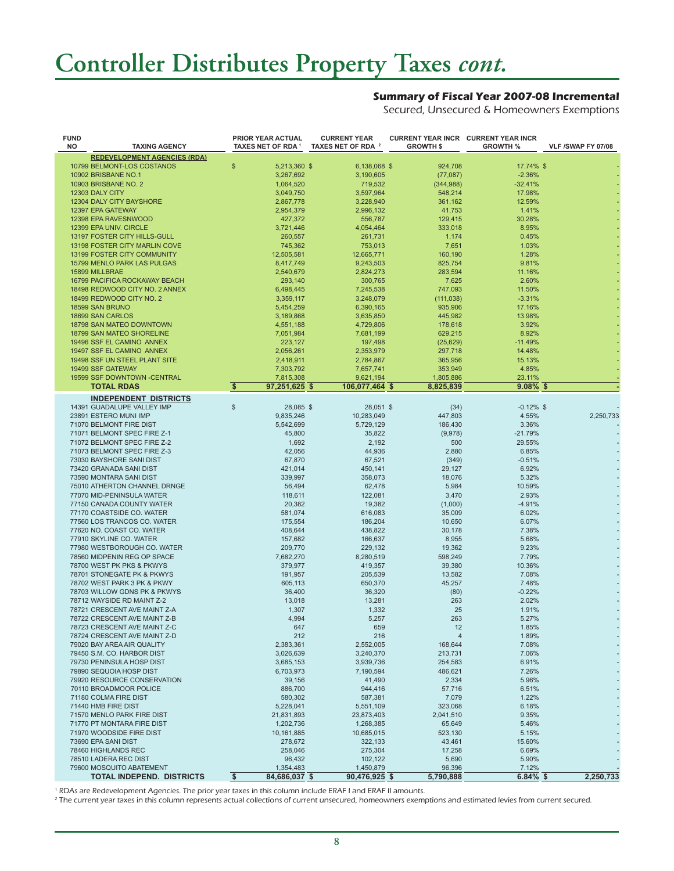### **Controller Distributes Property Taxes** *cont.*

#### **Summary of Fiscal Year 2007-08 Incremental**

Secured, Unsecured & Homeowners Exemptions

| <b>FUND</b><br>NO | <b>TAXING AGENCY</b>                | <b>PRIOR YEAR ACTUAL</b><br>TAXES NET OF RDA <sup>1</sup> | <b>CURRENT YEAR</b><br>TAXES NET OF RDA 2 | <b>CURRENT YEAR INCR CURRENT YEAR INCR</b><br><b>GROWTH \$</b> | <b>GROWTH %</b> | VLF /SWAP FY 07/08 |
|-------------------|-------------------------------------|-----------------------------------------------------------|-------------------------------------------|----------------------------------------------------------------|-----------------|--------------------|
|                   | <b>REDEVELOPMENT AGENCIES (RDA)</b> |                                                           |                                           |                                                                |                 |                    |
|                   | 10799 BELMONT-LOS COSTANOS          | \$<br>5,213,360 \$                                        | 6,138,068 \$                              | 924,708                                                        | 17.74% \$       |                    |
|                   | 10902 BRISBANE NO.1                 | 3,267,692                                                 | 3,190,605                                 | (77,087)                                                       | $-2.36%$        |                    |
|                   | <b>10903 BRISBANE NO. 2</b>         | 1,064,520                                                 | 719,532                                   | (344, 988)                                                     | $-32.41%$       |                    |
|                   | 12303 DALY CITY                     | 3,049,750                                                 | 3,597,964                                 | 548,214                                                        | 17.98%          |                    |
|                   | 12304 DALY CITY BAYSHORE            | 2,867,778                                                 | 3,228,940                                 | 361,162                                                        | 12.59%          |                    |
|                   | 12397 EPA GATEWAY                   | 2,954,379                                                 | 2,996,132                                 | 41,753                                                         | 1.41%           |                    |
|                   | 12398 EPA RAVESNWOOD                | 427,372                                                   | 556,787                                   | 129,415                                                        | 30.28%          |                    |
|                   | 12399 EPA UNIV. CIRCLE              | 3,721,446                                                 | 4,054,464                                 | 333,018                                                        | 8.95%           |                    |
|                   | 13197 FOSTER CITY HILLS-GULL        | 260,557                                                   | 261,731                                   | 1,174                                                          | 0.45%           |                    |
|                   | 13198 FOSTER CITY MARLIN COVE       | 745,362                                                   | 753,013                                   | 7,651                                                          | 1.03%           |                    |
|                   | <b>13199 FOSTER CITY COMMUNITY</b>  | 12,505,581                                                | 12,665,771                                | 160,190                                                        | 1.28%           |                    |
|                   | 15799 MENLO PARK LAS PULGAS         |                                                           | 9,243,503                                 |                                                                | 9.81%           |                    |
|                   |                                     | 8,417,749                                                 |                                           | 825,754                                                        |                 |                    |
|                   | 15899 MILLBRAE                      | 2,540,679                                                 | 2,824,273                                 | 283,594                                                        | 11.16%          |                    |
|                   | 16799 PACIFICA ROCKAWAY BEACH       | 293,140                                                   | 300,765                                   | 7,625                                                          | 2.60%           |                    |
|                   | 18498 REDWOOD CITY NO. 2 ANNEX      | 6,498,445                                                 | 7,245,538                                 | 747,093                                                        | 11.50%          |                    |
|                   | 18499 REDWOOD CITY NO. 2            | 3,359,117                                                 | 3,248,079                                 | (111, 038)                                                     | $-3.31%$        |                    |
|                   | 18599 SAN BRUNO                     | 5,454,259                                                 | 6,390,165                                 | 935,906                                                        | 17.16%          |                    |
|                   | 18699 SAN CARLOS                    | 3,189,868                                                 | 3,635,850                                 | 445,982                                                        | 13.98%          |                    |
|                   | 18798 SAN MATEO DOWNTOWN            | 4,551,188                                                 | 4,729,806                                 | 178,618                                                        | 3.92%           |                    |
|                   | 18799 SAN MATEO SHORELINE           | 7,051,984                                                 | 7,681,199                                 | 629,215                                                        | 8.92%           |                    |
|                   | 19496 SSF EL CAMINO ANNEX           | 223,127                                                   | 197,498                                   | (25, 629)                                                      | $-11.49%$       |                    |
|                   | 19497 SSF EL CAMINO ANNEX           | 2,056,261                                                 | 2,353,979                                 | 297,718                                                        | 14.48%          |                    |
|                   | 19498 SSF UN STEEL PLANT SITE       | 2,418,911                                                 | 2,784,867                                 | 365,956                                                        | 15.13%          |                    |
|                   | 19499 SSF GATEWAY                   | 7,303,792                                                 | 7,657,741                                 | 353,949                                                        | 4.85%           |                    |
|                   | 19599 SSF DOWNTOWN -CENTRAL         | 7,815,308                                                 | 9,621,194                                 | 1,805,886                                                      | 23.11%          |                    |
|                   | <b>TOTAL RDAS</b>                   | \$<br>97,251,625 \$                                       | 106,077,464 \$                            | 8,825,839                                                      | $9.08\%$ \$     |                    |
|                   |                                     |                                                           |                                           |                                                                |                 |                    |
|                   | <b>INDEPENDENT DISTRICTS</b>        |                                                           |                                           |                                                                |                 |                    |
|                   | 14391 GUADALUPE VALLEY IMP          | $\$\$<br>28,085 \$                                        | 28,051 \$                                 | (34)                                                           | $-0.12\%$ \$    |                    |
|                   | 23891 ESTERO MUNI IMP               | 9,835,246                                                 | 10,283,049                                | 447,803                                                        | 4.55%           | 2,250,733          |
|                   | 71070 BELMONT FIRE DIST             | 5,542,699                                                 | 5,729,129                                 | 186,430                                                        | 3.36%           |                    |
|                   | 71071 BELMONT SPEC FIRE Z-1         | 45,800                                                    | 35,822                                    | (9,978)                                                        | $-21.79%$       |                    |
|                   | 71072 BELMONT SPEC FIRE Z-2         | 1,692                                                     | 2,192                                     | 500                                                            | 29.55%          |                    |
|                   | 71073 BELMONT SPEC FIRE Z-3         | 42,056                                                    | 44,936                                    | 2,880                                                          | 6.85%           |                    |
|                   | 73030 BAYSHORE SANI DIST            | 67,870                                                    | 67,521                                    | (349)                                                          | $-0.51%$        |                    |
|                   | 73420 GRANADA SANI DIST             | 421,014                                                   | 450,141                                   | 29,127                                                         | 6.92%           |                    |
|                   | 73590 MONTARA SANI DIST             | 339,997                                                   | 358,073                                   | 18,076                                                         | 5.32%           |                    |
|                   | 75010 ATHERTON CHANNEL DRNGE        | 56,494                                                    | 62,478                                    | 5,984                                                          | 10.59%          |                    |
|                   | 77070 MID-PENINSULA WATER           | 118,611                                                   | 122,081                                   | 3,470                                                          | 2.93%           |                    |
|                   | 77150 CANADA COUNTY WATER           | 20,382                                                    | 19,382                                    | (1,000)                                                        | $-4.91%$        |                    |
|                   | 77170 COASTSIDE CO. WATER           | 581,074                                                   | 616,083                                   | 35,009                                                         | 6.02%           |                    |
|                   | 77560 LOS TRANCOS CO. WATER         | 175,554                                                   | 186,204                                   | 10,650                                                         | 6.07%           |                    |
|                   | 77620 NO. COAST CO. WATER           |                                                           |                                           |                                                                | 7.38%           |                    |
|                   |                                     | 408,644                                                   | 438,822                                   | 30,178                                                         |                 |                    |
|                   | 77910 SKYLINE CO. WATER             | 157,682                                                   | 166,637                                   | 8,955                                                          | 5.68%           |                    |
|                   | 77980 WESTBOROUGH CO. WATER         | 209,770                                                   | 229,132                                   | 19,362                                                         | 9.23%           |                    |
|                   | 78560 MIDPENIN REG OP SPACE         | 7,682,270                                                 | 8,280,519                                 | 598,249                                                        | 7.79%           |                    |
|                   | 78700 WEST PK PKS & PKWYS           | 379,977                                                   | 419,357                                   | 39,380                                                         | 10.36%          |                    |
|                   | 78701 STONEGATE PK & PKWYS          | 191,957                                                   | 205.539                                   | 13,582                                                         | 7.08%           |                    |
|                   | 78702 WEST PARK 3 PK & PKWY         | 605,113                                                   | 650,370                                   | 45,257                                                         | 7.48%           |                    |
|                   | 78703 WILLOW GDNS PK & PKWYS        | 36,400                                                    | 36,320                                    | (80)                                                           | $-0.22%$        |                    |
|                   | 78712 WAYSIDE RD MAINT Z-2          | 13,018                                                    | 13,281                                    | 263                                                            | 2.02%           |                    |
|                   | 78721 CRESCENT AVE MAINT Z-A        | 1,307                                                     | 1,332                                     | 25                                                             | 1.91%           |                    |
|                   | 78722 CRESCENT AVE MAINT Z-B        | 4,994                                                     | 5,257                                     | 263                                                            | 5.27%           |                    |
|                   | 78723 CRESCENT AVE MAINT Z-C        | 647                                                       | 659                                       | 12                                                             | 1.85%           |                    |
|                   | 78724 CRESCENT AVE MAINT Z-D        | 212                                                       | 216                                       | 4                                                              | 1.89%           |                    |
|                   | 79020 BAY AREA AIR QUALITY          | 2,383,361                                                 | 2,552,005                                 | 168,644                                                        | 7.08%           |                    |
|                   | 79450 S.M. CO. HARBOR DIST          | 3,026,639                                                 | 3,240,370                                 | 213,731                                                        | 7.06%           |                    |
|                   | 79730 PENINSULA HOSP DIST           | 3,685,153                                                 | 3,939,736                                 | 254,583                                                        | 6.91%           |                    |
|                   | 79890 SEQUOIA HOSP DIST             | 6,703,973                                                 | 7,190,594                                 | 486,621                                                        | 7.26%           |                    |
|                   | 79920 RESOURCE CONSERVATION         |                                                           |                                           | 2,334                                                          | 5.96%           |                    |
|                   |                                     | 39,156                                                    | 41,490                                    |                                                                |                 |                    |
|                   | 70110 BROADMOOR POLICE              | 886,700                                                   | 944,416                                   | 57,716                                                         | 6.51%           |                    |
|                   | 71180 COLMA FIRE DIST               | 580,302                                                   | 587,381                                   | 7,079                                                          | 1.22%           |                    |
|                   | 71440 HMB FIRE DIST                 | 5,228,041                                                 | 5,551,109                                 | 323,068                                                        | 6.18%           |                    |
|                   | 71570 MENLO PARK FIRE DIST          | 21,831,893                                                | 23,873,403                                | 2,041,510                                                      | 9.35%           |                    |
|                   | 71770 PT MONTARA FIRE DIST          | 1,202,736                                                 | 1,268,385                                 | 65,649                                                         | 5.46%           |                    |
|                   | 71970 WOODSIDE FIRE DIST            | 10,161,885                                                | 10,685,015                                | 523,130                                                        | 5.15%           |                    |
|                   | 73690 EPA SANI DIST                 | 278,672                                                   | 322,133                                   | 43,461                                                         | 15.60%          |                    |
|                   | 78460 HIGHLANDS REC                 | 258,046                                                   | 275,304                                   | 17,258                                                         | 6.69%           |                    |
|                   | 78510 LADERA REC DIST               | 96,432                                                    | 102,122                                   | 5,690                                                          | 5.90%           |                    |
|                   | 79600 MOSQUITO ABATEMENT            | 1,354,483                                                 | 1,450,879                                 | 96,396                                                         | 7.12%           |                    |
|                   | <b>TOTAL INDEPEND. DISTRICTS</b>    | \$<br>84,686,037 \$                                       | 90,476,925 \$                             | 5,790,888                                                      | $6.84\%$ \$     | 2,250,733          |

1 RDAs are Redevelopment Agencies. The prior year taxes in this column include ERAF I and ERAF II amounts.

 $^{\rm 2}$  The current year taxes in this column represents actual collections of current unsecured, homeowners exemptions and estimated levies from current secured.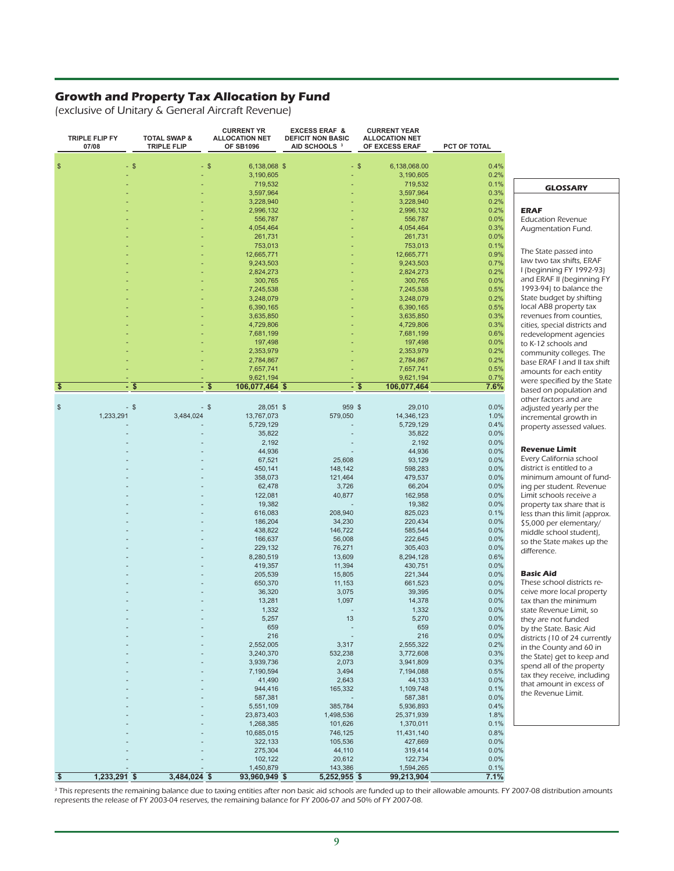### **Growth and Property Tax Allocation by Fund**

(exclusive of Unitary & General Aircraft Revenue)

|                         | TRIPLE FLIP FY<br>07/08 | <b>TOTAL SWAP &amp;</b><br><b>TRIPLE FLIP</b> | <b>CURRENT YR</b><br><b>ALLOCATION NET</b><br><b>OF SB1096</b> | <b>EXCESS ERAF &amp;</b><br><b>DEFICIT NON BASIC</b><br>AID SCHOOLS <sup>3</sup> | <b>CURRENT YEAR</b><br><b>ALLOCATION NET</b><br>OF EXCESS ERAF | PCT OF TOTAL |
|-------------------------|-------------------------|-----------------------------------------------|----------------------------------------------------------------|----------------------------------------------------------------------------------|----------------------------------------------------------------|--------------|
|                         |                         |                                               |                                                                |                                                                                  |                                                                |              |
| \$                      |                         | $-$ \$                                        | $-$ \$<br>6,138,068 \$                                         |                                                                                  | $-$ \$<br>6,138,068.00                                         | 0.4%         |
|                         |                         |                                               | 3,190,605                                                      |                                                                                  | 3,190,605                                                      | 0.2%         |
|                         |                         |                                               | 719,532<br>3,597,964                                           |                                                                                  | 719,532                                                        | 0.1%<br>0.3% |
|                         |                         |                                               | 3,228,940                                                      |                                                                                  | 3,597,964<br>3,228,940                                         | 0.2%         |
|                         |                         |                                               | 2,996,132                                                      |                                                                                  | 2,996,132                                                      | 0.2%         |
|                         |                         |                                               | 556,787                                                        |                                                                                  | 556,787                                                        | 0.0%         |
|                         |                         |                                               | 4,054,464                                                      |                                                                                  | 4,054,464                                                      | 0.3%         |
|                         |                         |                                               | 261,731                                                        |                                                                                  | 261,731                                                        | 0.0%         |
|                         |                         |                                               | 753,013                                                        |                                                                                  | 753,013                                                        | 0.1%         |
|                         |                         |                                               | 12,665,771                                                     |                                                                                  | 12,665,771                                                     | 0.9%         |
|                         |                         |                                               | 9,243,503                                                      |                                                                                  | 9,243,503                                                      | 0.7%         |
|                         |                         |                                               | 2,824,273                                                      |                                                                                  | 2,824,273                                                      | 0.2%         |
|                         |                         |                                               | 300,765                                                        |                                                                                  | 300,765                                                        | 0.0%         |
|                         |                         |                                               | 7,245,538<br>3,248,079                                         |                                                                                  | 7,245,538                                                      | 0.5%<br>0.2% |
|                         |                         |                                               | 6,390,165                                                      |                                                                                  | 3,248,079<br>6,390,165                                         | 0.5%         |
|                         |                         |                                               | 3,635,850                                                      |                                                                                  | 3,635,850                                                      | 0.3%         |
|                         |                         |                                               | 4,729,806                                                      |                                                                                  | 4,729,806                                                      | 0.3%         |
|                         |                         |                                               | 7,681,199                                                      |                                                                                  | 7,681,199                                                      | 0.6%         |
|                         |                         |                                               | 197,498                                                        |                                                                                  | 197,498                                                        | 0.0%         |
|                         |                         |                                               | 2,353,979                                                      |                                                                                  | 2,353,979                                                      | 0.2%         |
|                         |                         |                                               | 2,784,867                                                      |                                                                                  | 2,784,867                                                      | 0.2%         |
|                         |                         |                                               | 7,657,741                                                      |                                                                                  | 7,657,741                                                      | 0.5%         |
|                         |                         |                                               | 9,621,194                                                      |                                                                                  | 9,621,194                                                      | 0.7%         |
| \$                      |                         | - \$                                          | - \$<br>106,077,464 \$                                         | ٠                                                                                | \$<br>106,077,464                                              | 7.6%         |
| \$                      |                         | $-$ \$                                        | - \$<br>28,051 \$                                              | 959 \$                                                                           | 29,010                                                         | 0.0%         |
|                         | 1,233,291               | 3,484,024                                     | 13,767,073                                                     | 579,050                                                                          | 14,346,123                                                     | 1.0%         |
|                         |                         |                                               | 5,729,129                                                      |                                                                                  | 5,729,129                                                      | 0.4%         |
|                         |                         |                                               | 35,822                                                         |                                                                                  | 35,822                                                         | 0.0%         |
|                         |                         |                                               | 2,192                                                          |                                                                                  | 2,192                                                          | 0.0%         |
|                         |                         |                                               | 44,936                                                         |                                                                                  | 44,936                                                         | 0.0%         |
|                         |                         |                                               | 67,521                                                         | 25,608                                                                           | 93,129                                                         | 0.0%         |
|                         |                         |                                               | 450,141                                                        | 148,142                                                                          | 598,283                                                        | 0.0%         |
|                         |                         |                                               | 358,073                                                        | 121,464                                                                          | 479,537                                                        | 0.0%         |
|                         |                         |                                               | 62,478                                                         | 3,726                                                                            | 66,204                                                         | 0.0%         |
|                         |                         |                                               | 122,081                                                        | 40,877                                                                           | 162,958                                                        | 0.0%         |
|                         |                         |                                               | 19,382<br>616,083                                              | 208,940                                                                          | 19,382<br>825,023                                              | 0.0%<br>0.1% |
|                         |                         |                                               | 186,204                                                        | 34,230                                                                           | 220,434                                                        | 0.0%         |
|                         |                         |                                               | 438,822                                                        | 146,722                                                                          | 585,544                                                        | 0.0%         |
|                         |                         |                                               | 166,637                                                        | 56,008                                                                           | 222,645                                                        | 0.0%         |
|                         |                         |                                               | 229,132                                                        | 76,271                                                                           | 305,403                                                        | 0.0%         |
|                         |                         |                                               | 8,280,519                                                      | 13,609                                                                           | 8,294,128                                                      | 0.6%         |
|                         |                         |                                               | 419,357                                                        | 11,394                                                                           | 430,751                                                        | 0.0%         |
|                         |                         |                                               | 205,539                                                        | 15,805                                                                           | 221,344                                                        | 0.0%         |
|                         |                         |                                               | 650,370                                                        | 11,153                                                                           | 661,523                                                        | 0.0%         |
|                         |                         |                                               | 36,320                                                         | 3,075                                                                            | 39,395                                                         | 0.0%         |
|                         |                         |                                               | 13,281                                                         | 1,097                                                                            | 14,378                                                         | 0.0%         |
|                         |                         |                                               | 1,332                                                          |                                                                                  | 1,332                                                          | 0.0%<br>0.0% |
|                         |                         |                                               | 5,257<br>659                                                   | 13                                                                               | 5,270<br>659                                                   | 0.0%         |
|                         |                         |                                               | 216                                                            |                                                                                  | 216                                                            | 0.0%         |
|                         |                         |                                               | 2,552,005                                                      | 3,317                                                                            | 2,555,322                                                      | 0.2%         |
|                         |                         |                                               | 3,240,370                                                      | 532,238                                                                          | 3,772,608                                                      | 0.3%         |
|                         |                         |                                               | 3,939,736                                                      | 2,073                                                                            | 3,941,809                                                      | 0.3%         |
|                         |                         |                                               | 7,190,594                                                      | 3,494                                                                            | 7,194,088                                                      | 0.5%         |
|                         |                         |                                               | 41,490                                                         | 2,643                                                                            | 44,133                                                         | 0.0%         |
|                         |                         |                                               | 944,416                                                        | 165,332                                                                          | 1,109,748                                                      | 0.1%         |
|                         |                         |                                               | 587,381                                                        |                                                                                  | 587,381                                                        | 0.0%         |
|                         |                         |                                               | 5,551,109                                                      | 385,784                                                                          | 5,936,893                                                      | 0.4%         |
|                         |                         |                                               | 23,873,403                                                     | 1,498,536                                                                        | 25,371,939                                                     | 1.8%         |
|                         |                         |                                               | 1,268,385                                                      | 101,626                                                                          | 1,370,011                                                      | 0.1%         |
|                         |                         |                                               | 10,685,015                                                     | 746,125                                                                          | 11,431,140                                                     | 0.8%         |
|                         |                         |                                               | 322,133<br>275,304                                             | 105,536<br>44,110                                                                | 427,669<br>319,414                                             | 0.0%<br>0.0% |
|                         |                         |                                               | 102,122                                                        | 20,612                                                                           | 122,734                                                        | 0.0%         |
|                         |                         |                                               | 1,450,879                                                      | 143,386                                                                          | 1,594,265                                                      | 0.1%         |
| $\overline{\mathbf{3}}$ | $1,233,291$ \$          | 3,484,024 \$                                  | $93,960,949$ \$                                                | $5,252,955$ \$                                                                   | 99,213,904                                                     | 7.1%         |

#### **GLOSSARY**

**ERAF** 

Education Revenue Augmentation Fund.

The State passed into law two tax shifts, ERAF I (beginning FY 1992-93) and ERAF II (beginning FY 1993-94) to balance the State budget by shifting local AB8 property tax revenues from counties, cities, special districts and redevelopment agencies to K-12 schools and community colleges. The base ERAF I and II tax shift amounts for each entity were specified by the State based on population and other factors and are adjusted yearly per the incremental growth in property assessed values.

**Revenue Limit**

Every California school district is entitled to a minimum amount of funding per student. Revenue Limit schools receive a property tax share that is less than this limit (approx. \$5,000 per elementary/ middle school student), so the State makes up the difference.

#### **Basic Aid**

These school districts receive more local property tax than the minimum state Revenue Limit, so they are not funded by the State. Basic Aid districts (10 of 24 currently in the County and 60 in the State) get to keep and spend all of the property tax they receive, including that amount in excess of the Revenue Limit.

<sup>3</sup> This represents the remaining balance due to taxing entities after non basic aid schools are funded up to their allowable amounts. FY 2007-08 distribution amounts represents the release of FY 2003-04 reserves, the remaining balance for FY 2006-07 and 50% of FY 2007-08.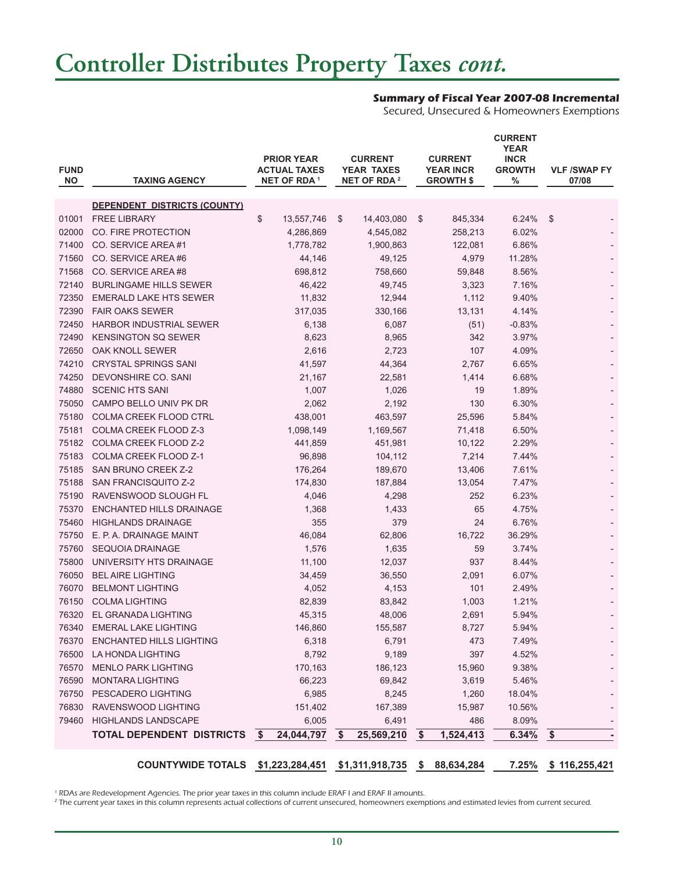# **Controller Distributes Property Taxes** *cont.*

### **Summary of Fiscal Year 2007-08 Incremental**

Secured, Unsecured & Homeowners Exemptions

| <b>FUND</b><br><b>NO</b> | <b>TAXING AGENCY</b>                                            | <b>PRIOR YEAR</b><br><b>ACTUAL TAXES</b><br><b>NET OF RDA 1</b> |            | <b>CURRENT</b><br><b>YEAR TAXES</b><br>NET OF RDA <sup>2</sup> |            |       | <b>CURRENT</b><br><b>YEAR INCR</b><br><b>GROWTH \$</b> | <b>CURRENT</b><br><b>YEAR</b><br><b>INCR</b><br><b>GROWTH</b><br>% | <b>VLF /SWAP FY</b><br>07/08 |
|--------------------------|-----------------------------------------------------------------|-----------------------------------------------------------------|------------|----------------------------------------------------------------|------------|-------|--------------------------------------------------------|--------------------------------------------------------------------|------------------------------|
|                          | <b>DEPENDENT DISTRICTS (COUNTY)</b>                             |                                                                 |            |                                                                |            |       |                                                        |                                                                    |                              |
| 01001                    | <b>FREE LIBRARY</b>                                             | \$                                                              | 13,557,746 | \$                                                             | 14,403,080 | \$    | 845,334                                                | 6.24%                                                              | -\$                          |
| 02000                    | CO. FIRE PROTECTION                                             |                                                                 | 4,286,869  |                                                                | 4,545,082  |       | 258,213                                                | 6.02%                                                              |                              |
| 71400                    | CO. SERVICE AREA#1                                              |                                                                 | 1,778,782  |                                                                | 1,900,863  |       | 122,081                                                | 6.86%                                                              |                              |
| 71560                    | CO. SERVICE AREA#6                                              |                                                                 | 44,146     |                                                                | 49,125     |       | 4,979                                                  | 11.28%                                                             |                              |
| 71568                    | CO. SERVICE AREA#8                                              |                                                                 | 698,812    |                                                                | 758,660    |       | 59,848                                                 | 8.56%                                                              |                              |
| 72140                    | <b>BURLINGAME HILLS SEWER</b>                                   |                                                                 | 46,422     |                                                                | 49,745     |       | 3,323                                                  | 7.16%                                                              |                              |
| 72350                    | <b>EMERALD LAKE HTS SEWER</b>                                   |                                                                 | 11,832     |                                                                | 12,944     |       | 1,112                                                  | 9.40%                                                              |                              |
| 72390                    | <b>FAIR OAKS SEWER</b>                                          |                                                                 | 317,035    |                                                                | 330,166    |       | 13,131                                                 | 4.14%                                                              |                              |
| 72450                    | <b>HARBOR INDUSTRIAL SEWER</b>                                  |                                                                 | 6,138      |                                                                | 6,087      |       | (51)                                                   | $-0.83%$                                                           |                              |
| 72490                    | <b>KENSINGTON SQ SEWER</b>                                      | 8,623                                                           |            | 8,965                                                          |            | 342   |                                                        | 3.97%                                                              |                              |
| 72650                    | OAK KNOLL SEWER                                                 |                                                                 | 2,616      | 2,723                                                          |            | 107   |                                                        | 4.09%                                                              |                              |
| 74210                    | <b>CRYSTAL SPRINGS SANI</b>                                     | 41,597                                                          |            |                                                                | 44,364     | 2,767 |                                                        | 6.65%                                                              |                              |
| 74250                    | DEVONSHIRE CO. SANI                                             |                                                                 | 21,167     |                                                                | 22,581     |       | 1,414                                                  | 6.68%                                                              |                              |
| 74880                    | <b>SCENIC HTS SANI</b>                                          |                                                                 | 1,007      |                                                                | 1,026      |       | 19                                                     | 1.89%                                                              |                              |
| 75050                    | CAMPO BELLO UNIV PK DR                                          |                                                                 | 2,062      |                                                                | 2,192      |       | 130                                                    | 6.30%                                                              |                              |
| 75180                    | <b>COLMA CREEK FLOOD CTRL</b>                                   |                                                                 | 438,001    |                                                                | 463,597    |       | 25,596                                                 | 5.84%                                                              |                              |
| 75181                    | COLMA CREEK FLOOD Z-3                                           |                                                                 | 1,098,149  |                                                                | 1,169,567  |       | 71,418                                                 | 6.50%                                                              |                              |
| 75182                    | COLMA CREEK FLOOD Z-2                                           |                                                                 | 441,859    |                                                                | 451,981    |       | 10,122                                                 | 2.29%                                                              |                              |
| 75183                    | <b>COLMA CREEK FLOOD Z-1</b>                                    |                                                                 | 96,898     |                                                                | 104,112    |       | 7,214                                                  | 7.44%                                                              |                              |
| 75185                    | <b>SAN BRUNO CREEK Z-2</b>                                      |                                                                 | 176,264    |                                                                | 189,670    |       | 13,406                                                 | 7.61%                                                              |                              |
| 75188                    | SAN FRANCISQUITO Z-2                                            |                                                                 | 174,830    |                                                                | 187,884    |       | 13,054                                                 | 7.47%                                                              |                              |
| 75190                    | RAVENSWOOD SLOUGH FL                                            |                                                                 | 4,046      |                                                                | 4,298      |       | 252                                                    | 6.23%                                                              |                              |
| 75370                    | ENCHANTED HILLS DRAINAGE                                        |                                                                 | 1,368      |                                                                | 1,433      |       | 65                                                     | 4.75%                                                              |                              |
| 75460                    | <b>HIGHLANDS DRAINAGE</b>                                       |                                                                 | 355        |                                                                | 379        |       | 24                                                     | 6.76%                                                              |                              |
| 75750                    | E. P. A. DRAINAGE MAINT                                         |                                                                 | 46,084     |                                                                | 62,806     |       | 16,722                                                 | 36.29%                                                             |                              |
| 75760                    | <b>SEQUOIA DRAINAGE</b>                                         |                                                                 | 1,576      |                                                                | 1,635      |       | 59                                                     | 3.74%                                                              |                              |
| 75800                    | UNIVERSITY HTS DRAINAGE                                         |                                                                 | 11,100     |                                                                | 12,037     |       | 937                                                    | 8.44%                                                              |                              |
| 76050                    | <b>BEL AIRE LIGHTING</b>                                        |                                                                 | 34,459     |                                                                | 36,550     |       | 2,091                                                  | 6.07%                                                              |                              |
| 76070                    | <b>BELMONT LIGHTING</b>                                         |                                                                 | 4,052      |                                                                | 4,153      |       | 101                                                    | 2.49%                                                              |                              |
| 76150                    | <b>COLMA LIGHTING</b>                                           |                                                                 | 82,839     |                                                                | 83,842     |       | 1,003                                                  | 1.21%                                                              |                              |
| 76320                    | EL GRANADA LIGHTING                                             |                                                                 | 45,315     |                                                                | 48,006     |       | 2,691                                                  | 5.94%                                                              |                              |
| 76340                    | <b>EMERAL LAKE LIGHTING</b>                                     |                                                                 | 146,860    |                                                                | 155,587    |       | 8,727                                                  | 5.94%                                                              |                              |
| 76370                    | <b>ENCHANTED HILLS LIGHTING</b>                                 |                                                                 | 6,318      |                                                                | 6,791      |       | 473                                                    | 7.49%                                                              |                              |
| 76500                    | LA HONDA LIGHTING                                               |                                                                 | 8,792      |                                                                | 9,189      |       | 397                                                    | 4.52%                                                              |                              |
| 76570                    | <b>MENLO PARK LIGHTING</b>                                      |                                                                 | 170,163    |                                                                | 186,123    |       | 15,960                                                 | 9.38%                                                              |                              |
| 76590                    | <b>MONTARA LIGHTING</b>                                         |                                                                 | 66,223     |                                                                | 69,842     |       | 3,619                                                  | 5.46%                                                              |                              |
| 76750                    | PESCADERO LIGHTING                                              |                                                                 | 6,985      |                                                                | 8,245      |       | 1,260                                                  | 18.04%                                                             |                              |
| 76830                    | RAVENSWOOD LIGHTING                                             |                                                                 | 151,402    |                                                                | 167,389    |       | 15,987                                                 | 10.56%                                                             |                              |
| 79460                    | <b>HIGHLANDS LANDSCAPE</b>                                      |                                                                 | 6,005      |                                                                | 6,491      |       | 486                                                    | 8.09%                                                              |                              |
|                          | TOTAL DEPENDENT DISTRICTS                                       | - \$                                                            | 24,044,797 | $\sqrt[6]{3}$                                                  | 25,569,210 | \$    | 1,524,413                                              | 6.34%                                                              | $\sqrt[6]{3}$                |
|                          | COUNTYWIDE TOTALS \$1,223,284,451 \$1,311,918,735 \$ 88,634,284 |                                                                 |            |                                                                |            |       |                                                        | 7.25%                                                              | \$116,255,421                |

1 RDAs are Redevelopment Agencies. The prior year taxes in this column include ERAF I and ERAF II amounts.

2 The current year taxes in this column represents actual collections of current unsecured, homeowners exemptions and estimated levies from current secured.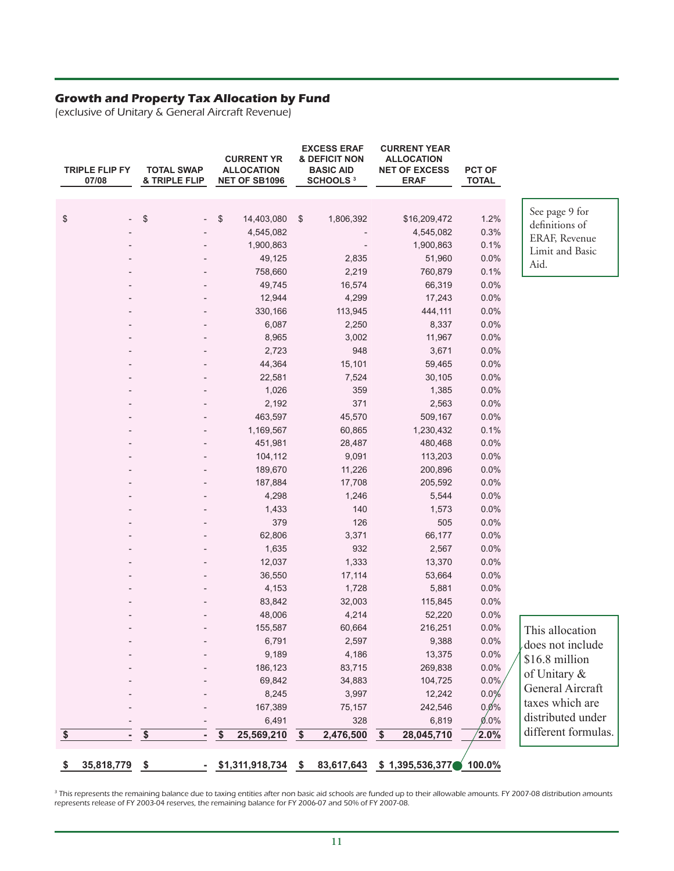#### **Growth and Property Tax Allocation by Fund**

(exclusive of Unitary & General Aircraft Revenue)

|                         | <b>TRIPLE FLIP FY</b><br>07/08 | <b>TOTAL SWAP</b><br>& TRIPLE FLIP | <b>CURRENT YR</b><br><b>ALLOCATION</b><br><b>NET OF SB1096</b> |                         | <b>EXCESS ERAF</b><br><b>&amp; DEFICIT NON</b><br><b>BASIC AID</b><br><b>SCHOOLS 3</b> |                 | <b>CURRENT YEAR</b><br><b>ALLOCATION</b><br><b>NET OF EXCESS</b><br><b>ERAF</b> | <b>PCT OF</b><br><b>TOTAL</b> |                     |
|-------------------------|--------------------------------|------------------------------------|----------------------------------------------------------------|-------------------------|----------------------------------------------------------------------------------------|-----------------|---------------------------------------------------------------------------------|-------------------------------|---------------------|
|                         |                                |                                    |                                                                |                         |                                                                                        |                 |                                                                                 |                               |                     |
| \$                      |                                | \$                                 | \$<br>14,403,080                                               | $\sqrt[6]{\frac{1}{2}}$ | 1,806,392                                                                              |                 | \$16,209,472                                                                    | 1.2%                          | See page 9 for      |
|                         |                                |                                    | 4,545,082                                                      |                         |                                                                                        |                 | 4,545,082                                                                       | 0.3%                          | definitions of      |
|                         |                                |                                    | 1,900,863                                                      |                         |                                                                                        |                 | 1,900,863                                                                       | 0.1%                          | ERAF, Revenue       |
|                         |                                |                                    | 49,125                                                         |                         | 2,835                                                                                  |                 | 51,960                                                                          | 0.0%                          | Limit and Basic     |
|                         |                                |                                    | 758,660                                                        |                         | 2,219                                                                                  |                 | 760,879                                                                         | 0.1%                          | Aid.                |
|                         |                                |                                    | 49,745                                                         |                         | 16,574                                                                                 |                 | 66,319                                                                          | 0.0%                          |                     |
|                         |                                |                                    | 12,944                                                         |                         | 4,299                                                                                  |                 | 17,243                                                                          | 0.0%                          |                     |
|                         |                                |                                    | 330,166                                                        |                         | 113,945                                                                                |                 | 444,111                                                                         | 0.0%                          |                     |
|                         |                                |                                    | 6,087                                                          |                         | 2,250                                                                                  |                 | 8,337                                                                           | 0.0%                          |                     |
|                         |                                |                                    | 8,965                                                          |                         | 3,002                                                                                  |                 | 11,967                                                                          | 0.0%                          |                     |
|                         |                                |                                    | 2,723                                                          |                         | 948                                                                                    |                 | 3,671                                                                           | 0.0%                          |                     |
|                         |                                |                                    | 44,364                                                         |                         | 15,101                                                                                 |                 | 59,465                                                                          | 0.0%                          |                     |
|                         |                                |                                    | 22,581                                                         |                         | 7,524                                                                                  |                 | 30,105                                                                          | 0.0%                          |                     |
|                         |                                |                                    | 1,026                                                          |                         | 359                                                                                    |                 | 1,385                                                                           | 0.0%                          |                     |
|                         |                                |                                    | 2,192                                                          |                         | 371                                                                                    |                 | 2,563                                                                           | 0.0%                          |                     |
|                         |                                |                                    | 463,597                                                        |                         | 45,570                                                                                 |                 | 509,167                                                                         | 0.0%                          |                     |
|                         |                                |                                    | 1,169,567                                                      |                         | 60,865                                                                                 |                 | 1,230,432                                                                       | 0.1%                          |                     |
|                         |                                |                                    | 451,981                                                        |                         | 28,487                                                                                 |                 | 480,468                                                                         | 0.0%                          |                     |
|                         |                                |                                    | 104,112                                                        |                         | 9,091                                                                                  |                 | 113,203                                                                         | 0.0%                          |                     |
|                         |                                |                                    | 189,670                                                        |                         | 11,226                                                                                 |                 | 200,896                                                                         | 0.0%                          |                     |
|                         |                                |                                    | 187,884                                                        |                         | 17,708                                                                                 |                 | 205,592                                                                         | 0.0%                          |                     |
|                         |                                |                                    | 4,298                                                          |                         | 1,246                                                                                  |                 | 5,544                                                                           | 0.0%                          |                     |
|                         |                                |                                    | 1,433                                                          |                         | 140                                                                                    |                 | 1,573                                                                           | 0.0%                          |                     |
|                         |                                |                                    | 379                                                            |                         | 126                                                                                    |                 | 505                                                                             | 0.0%                          |                     |
|                         |                                |                                    | 62,806                                                         |                         | 3,371                                                                                  |                 | 66,177                                                                          | 0.0%                          |                     |
|                         |                                |                                    | 1,635                                                          |                         | 932                                                                                    |                 | 2,567                                                                           | 0.0%                          |                     |
|                         |                                |                                    | 12,037                                                         |                         | 1,333                                                                                  |                 | 13,370                                                                          | 0.0%                          |                     |
|                         |                                |                                    | 36,550                                                         |                         | 17,114                                                                                 |                 | 53,664                                                                          | 0.0%                          |                     |
|                         |                                |                                    | 4,153                                                          |                         | 1,728                                                                                  |                 | 5,881                                                                           | 0.0%                          |                     |
|                         |                                |                                    | 83,842                                                         |                         | 32,003                                                                                 |                 | 115,845                                                                         | 0.0%                          |                     |
|                         |                                |                                    | 48,006                                                         |                         | 4,214                                                                                  |                 | 52,220                                                                          | 0.0%                          |                     |
|                         |                                |                                    | 155,587                                                        |                         | 60,664                                                                                 |                 | 216,251                                                                         | 0.0%                          | This allocation     |
|                         |                                |                                    | 6,791                                                          |                         | 2,597                                                                                  |                 | 9,388                                                                           | 0.0%                          | does not include    |
|                         |                                |                                    | 9,189                                                          |                         | 4,186                                                                                  |                 | 13,375                                                                          | 0.0%                          | \$16.8 million      |
|                         |                                |                                    | 186,123                                                        |                         | 83,715                                                                                 |                 | 269,838                                                                         | 0.0%                          |                     |
|                         |                                |                                    | 69,842                                                         |                         | 34,883                                                                                 |                 | 104,725                                                                         | 0.0%                          | of Unitary &        |
|                         |                                |                                    | 8,245                                                          |                         | 3,997                                                                                  |                 | 12,242                                                                          | 0.0%                          | General Aircraft    |
|                         |                                |                                    | 167,389                                                        |                         | 75,157                                                                                 |                 | 242,546                                                                         | 0.0%                          | taxes which are     |
|                         |                                |                                    | 6,491                                                          |                         | 328                                                                                    |                 | 6,819                                                                           | $0.0\%$                       | distributed under   |
| $\overline{\mathbf{r}}$ |                                | $\overline{\$}$                    | \$<br>25,569,210                                               | $\overline{\$}$         | 2,476,500                                                                              | $\overline{\$}$ | 28,045,710                                                                      | $2.0\%$                       | different formulas. |
| \$                      | 35,818,779                     | $\sqrt{5}$                         | $-$ \$1,311,918,734 \$                                         |                         | 83,617,643                                                                             |                 | \$1,395,536,377                                                                 | 100.0%                        |                     |

<sup>3</sup> This represents the remaining balance due to taxing entities after non basic aid schools are funded up to their allowable amounts. FY 2007-08 distribution amounts represents release of FY 2003-04 reserves, the remaining balance for FY 2006-07 and 50% of FY 2007-08.